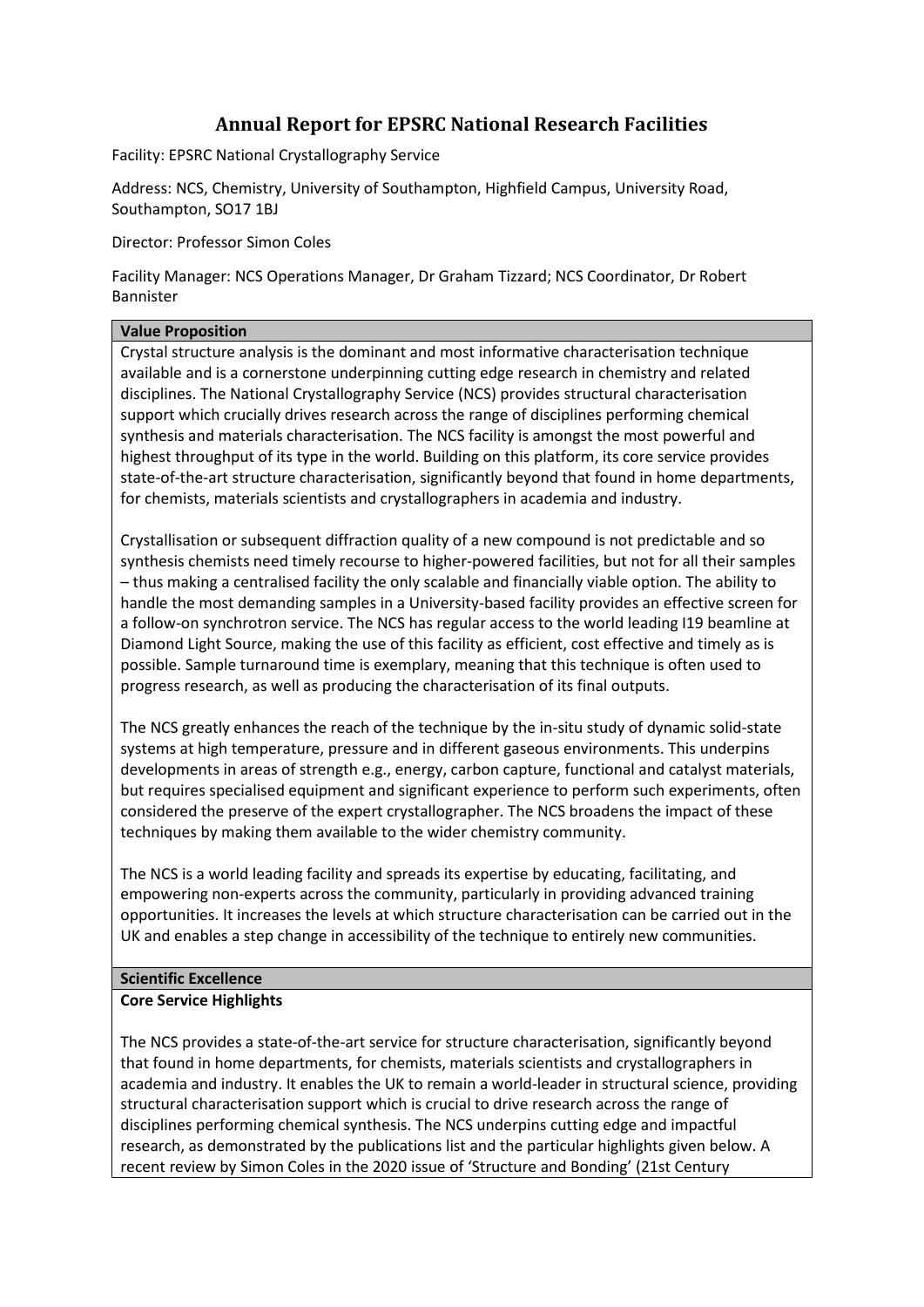# **Annual Report for EPSRC National Research Facilities**

Facility: EPSRC National Crystallography Service

Address: NCS, Chemistry, University of Southampton, Highfield Campus, University Road, Southampton, SO17 1BJ

Director: Professor Simon Coles

Facility Manager: NCS Operations Manager, Dr Graham Tizzard; NCS Coordinator, Dr Robert Bannister

# **Value Proposition**

Crystal structure analysis is the dominant and most informative characterisation technique available and is a cornerstone underpinning cutting edge research in chemistry and related disciplines. The National Crystallography Service (NCS) provides structural characterisation support which crucially drives research across the range of disciplines performing chemical synthesis and materials characterisation. The NCS facility is amongst the most powerful and highest throughput of its type in the world. Building on this platform, its core service provides state-of-the-art structure characterisation, significantly beyond that found in home departments, for chemists, materials scientists and crystallographers in academia and industry.

Crystallisation or subsequent diffraction quality of a new compound is not predictable and so synthesis chemists need timely recourse to higher-powered facilities, but not for all their samples – thus making a centralised facility the only scalable and financially viable option. The ability to handle the most demanding samples in a University-based facility provides an effective screen for a follow-on synchrotron service. The NCS has regular access to the world leading I19 beamline at Diamond Light Source, making the use of this facility as efficient, cost effective and timely as is possible. Sample turnaround time is exemplary, meaning that this technique is often used to progress research, as well as producing the characterisation of its final outputs.

The NCS greatly enhances the reach of the technique by the in-situ study of dynamic solid-state systems at high temperature, pressure and in different gaseous environments. This underpins developments in areas of strength e.g., energy, carbon capture, functional and catalyst materials, but requires specialised equipment and significant experience to perform such experiments, often considered the preserve of the expert crystallographer. The NCS broadens the impact of these techniques by making them available to the wider chemistry community.

The NCS is a world leading facility and spreads its expertise by educating, facilitating, and empowering non-experts across the community, particularly in providing advanced training opportunities. It increases the levels at which structure characterisation can be carried out in the UK and enables a step change in accessibility of the technique to entirely new communities.

### **Scientific Excellence Core Service Highlights**

The NCS provides a state-of-the-art service for structure characterisation, significantly beyond that found in home departments, for chemists, materials scientists and crystallographers in academia and industry. It enables the UK to remain a world-leader in structural science, providing structural characterisation support which is crucial to drive research across the range of disciplines performing chemical synthesis. The NCS underpins cutting edge and impactful research, as demonstrated by the publications list and the particular highlights given below. A recent review by Simon Coles in the 2020 issue of 'Structure and Bonding' (21st Century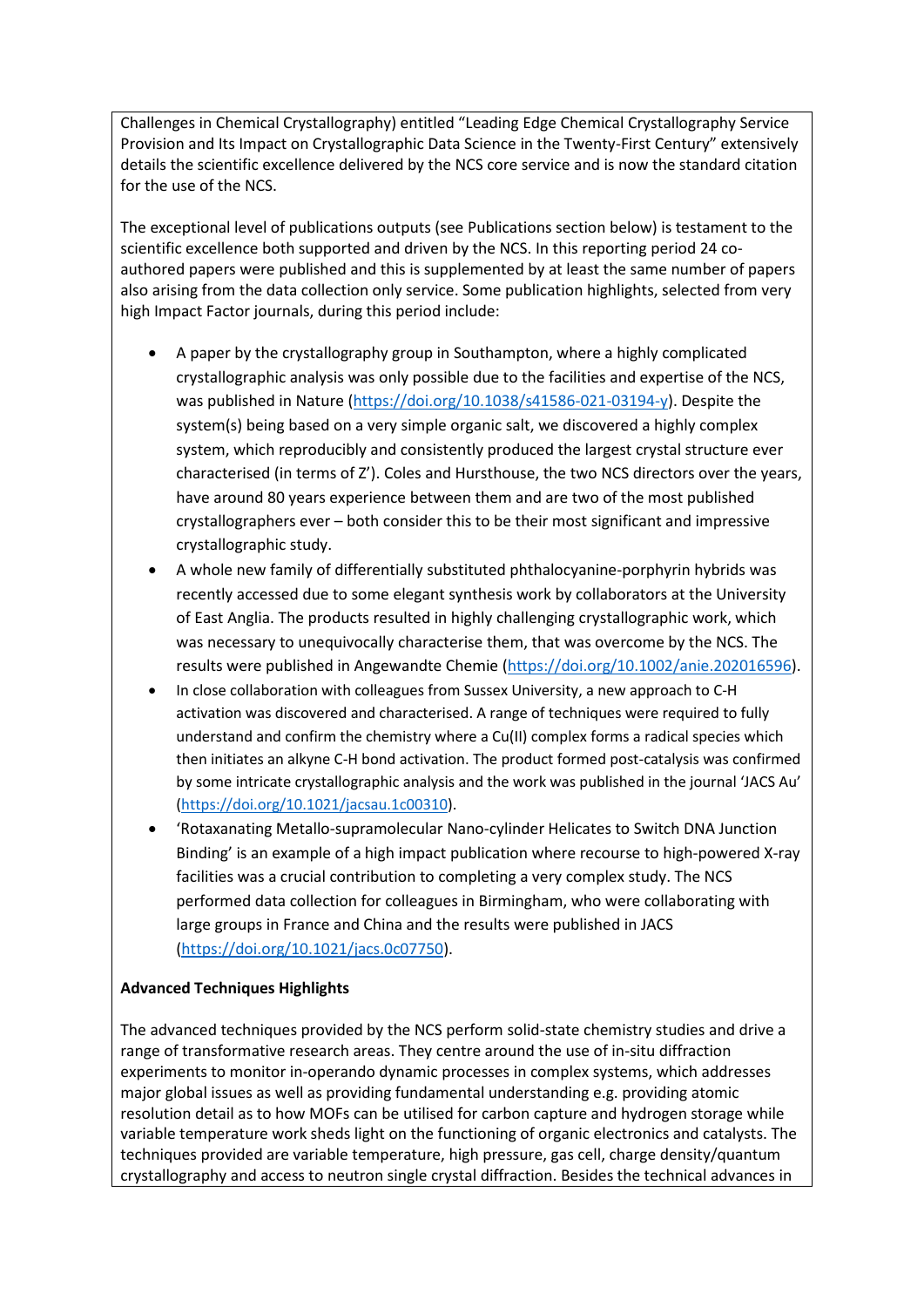Challenges in Chemical Crystallography) entitled "Leading Edge Chemical Crystallography Service Provision and Its Impact on Crystallographic Data Science in the Twenty-First Century" extensively details the scientific excellence delivered by the NCS core service and is now the standard citation for the use of the NCS.

The exceptional level of publications outputs (see Publications section below) is testament to the scientific excellence both supported and driven by the NCS. In this reporting period 24 coauthored papers were published and this is supplemented by at least the same number of papers also arising from the data collection only service. Some publication highlights, selected from very high Impact Factor journals, during this period include:

- A paper by the crystallography group in Southampton, where a highly complicated crystallographic analysis was only possible due to the facilities and expertise of the NCS, was published in Nature [\(https://doi.org/10.1038/s41586-021-03194-y\)](https://doi.org/10.1038/s41586-021-03194-y). Despite the system(s) being based on a very simple organic salt, we discovered a highly complex system, which reproducibly and consistently produced the largest crystal structure ever characterised (in terms of Z'). Coles and Hursthouse, the two NCS directors over the years, have around 80 years experience between them and are two of the most published crystallographers ever – both consider this to be their most significant and impressive crystallographic study.
- A whole new family of differentially substituted phthalocyanine-porphyrin hybrids was recently accessed due to some elegant synthesis work by collaborators at the University of East Anglia. The products resulted in highly challenging crystallographic work, which was necessary to unequivocally characterise them, that was overcome by the NCS. The results were published in Angewandte Chemie [\(https://doi.org/10.1002/anie.202016596\)](https://doi.org/10.1002/anie.202016596).
- In close collaboration with colleagues from Sussex University, a new approach to C-H activation was discovered and characterised. A range of techniques were required to fully understand and confirm the chemistry where a Cu(II) complex forms a radical species which then initiates an alkyne C-H bond activation. The product formed post-catalysis was confirmed by some intricate crystallographic analysis and the work was published in the journal 'JACS Au' [\(https://doi.org/10.1021/jacsau.1c00310\)](https://doi.org/10.1021/jacsau.1c00310).
- 'Rotaxanating Metallo-supramolecular Nano-cylinder Helicates to Switch DNA Junction Binding' is an example of a high impact publication where recourse to high-powered X-ray facilities was a crucial contribution to completing a very complex study. The NCS performed data collection for colleagues in Birmingham, who were collaborating with large groups in France and China and the results were published in JACS [\(https://doi.org/10.1021/jacs.0c07750\)](https://doi.org/10.1021/jacs.0c07750).

# **Advanced Techniques Highlights**

The advanced techniques provided by the NCS perform solid-state chemistry studies and drive a range of transformative research areas. They centre around the use of in-situ diffraction experiments to monitor in-operando dynamic processes in complex systems, which addresses major global issues as well as providing fundamental understanding e.g. providing atomic resolution detail as to how MOFs can be utilised for carbon capture and hydrogen storage while variable temperature work sheds light on the functioning of organic electronics and catalysts. The techniques provided are variable temperature, high pressure, gas cell, charge density/quantum crystallography and access to neutron single crystal diffraction. Besides the technical advances in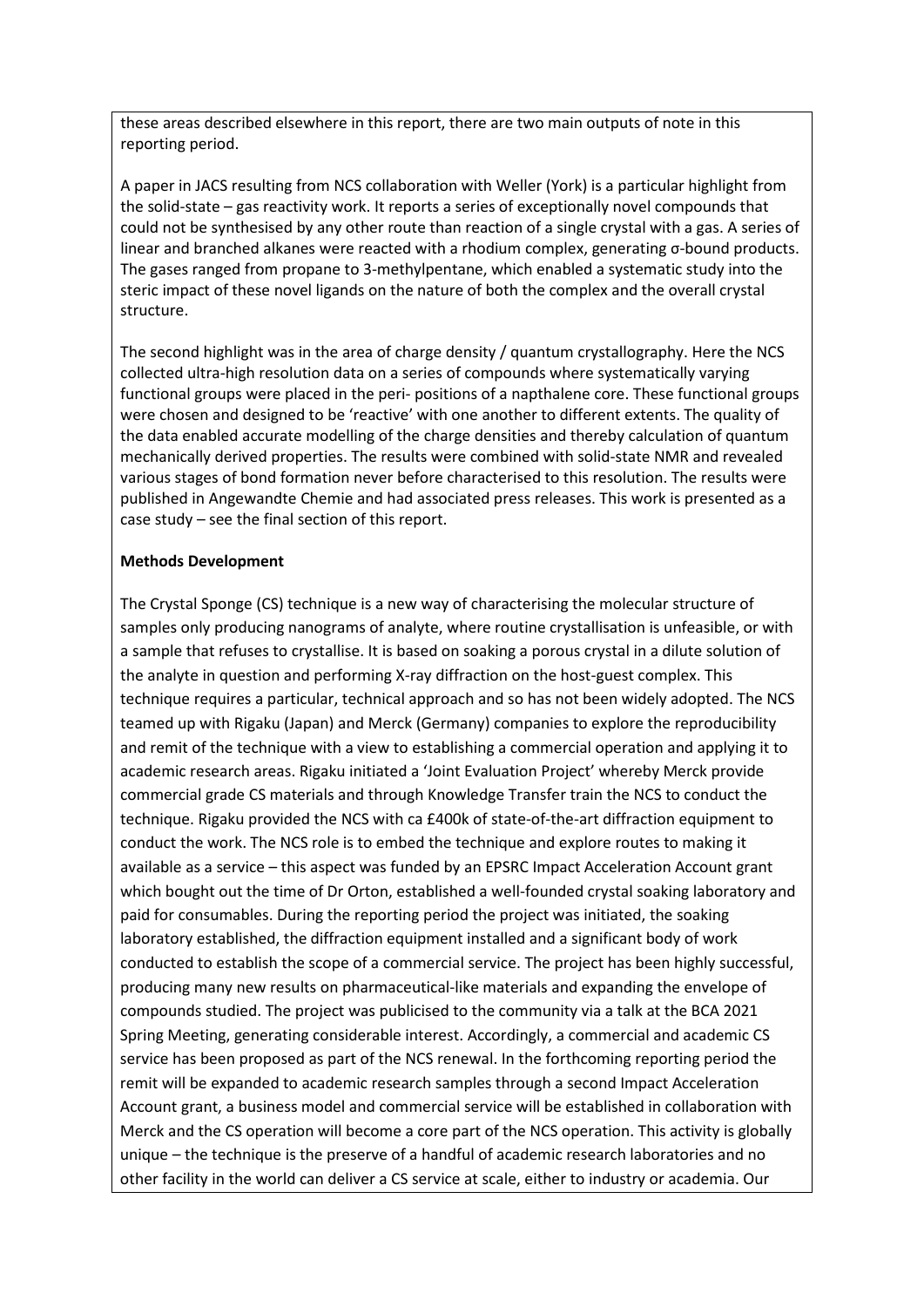these areas described elsewhere in this report, there are two main outputs of note in this reporting period.

A paper in JACS resulting from NCS collaboration with Weller (York) is a particular highlight from the solid-state – gas reactivity work. It reports a series of exceptionally novel compounds that could not be synthesised by any other route than reaction of a single crystal with a gas. A series of linear and branched alkanes were reacted with a rhodium complex, generating σ-bound products. The gases ranged from propane to 3-methylpentane, which enabled a systematic study into the steric impact of these novel ligands on the nature of both the complex and the overall crystal structure.

The second highlight was in the area of charge density / quantum crystallography. Here the NCS collected ultra-high resolution data on a series of compounds where systematically varying functional groups were placed in the peri- positions of a napthalene core. These functional groups were chosen and designed to be 'reactive' with one another to different extents. The quality of the data enabled accurate modelling of the charge densities and thereby calculation of quantum mechanically derived properties. The results were combined with solid-state NMR and revealed various stages of bond formation never before characterised to this resolution. The results were published in Angewandte Chemie and had associated press releases. This work is presented as a case study – see the final section of this report.

#### **Methods Development**

The Crystal Sponge (CS) technique is a new way of characterising the molecular structure of samples only producing nanograms of analyte, where routine crystallisation is unfeasible, or with a sample that refuses to crystallise. It is based on soaking a porous crystal in a dilute solution of the analyte in question and performing X-ray diffraction on the host-guest complex. This technique requires a particular, technical approach and so has not been widely adopted. The NCS teamed up with Rigaku (Japan) and Merck (Germany) companies to explore the reproducibility and remit of the technique with a view to establishing a commercial operation and applying it to academic research areas. Rigaku initiated a 'Joint Evaluation Project' whereby Merck provide commercial grade CS materials and through Knowledge Transfer train the NCS to conduct the technique. Rigaku provided the NCS with ca £400k of state-of-the-art diffraction equipment to conduct the work. The NCS role is to embed the technique and explore routes to making it available as a service – this aspect was funded by an EPSRC Impact Acceleration Account grant which bought out the time of Dr Orton, established a well-founded crystal soaking laboratory and paid for consumables. During the reporting period the project was initiated, the soaking laboratory established, the diffraction equipment installed and a significant body of work conducted to establish the scope of a commercial service. The project has been highly successful, producing many new results on pharmaceutical-like materials and expanding the envelope of compounds studied. The project was publicised to the community via a talk at the BCA 2021 Spring Meeting, generating considerable interest. Accordingly, a commercial and academic CS service has been proposed as part of the NCS renewal. In the forthcoming reporting period the remit will be expanded to academic research samples through a second Impact Acceleration Account grant, a business model and commercial service will be established in collaboration with Merck and the CS operation will become a core part of the NCS operation. This activity is globally unique – the technique is the preserve of a handful of academic research laboratories and no other facility in the world can deliver a CS service at scale, either to industry or academia. Our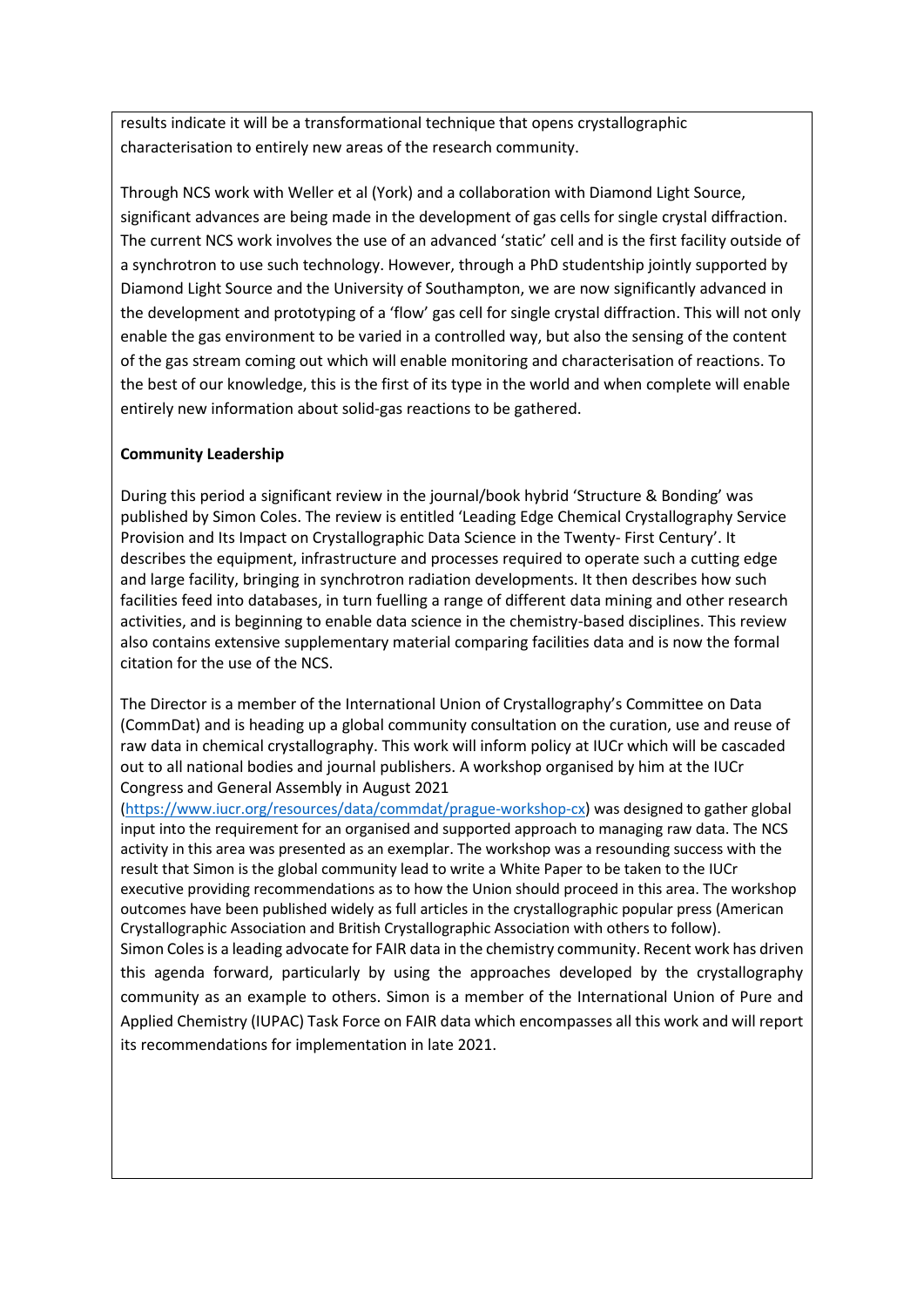results indicate it will be a transformational technique that opens crystallographic characterisation to entirely new areas of the research community.

Through NCS work with Weller et al (York) and a collaboration with Diamond Light Source, significant advances are being made in the development of gas cells for single crystal diffraction. The current NCS work involves the use of an advanced 'static' cell and is the first facility outside of a synchrotron to use such technology. However, through a PhD studentship jointly supported by Diamond Light Source and the University of Southampton, we are now significantly advanced in the development and prototyping of a 'flow' gas cell for single crystal diffraction. This will not only enable the gas environment to be varied in a controlled way, but also the sensing of the content of the gas stream coming out which will enable monitoring and characterisation of reactions. To the best of our knowledge, this is the first of its type in the world and when complete will enable entirely new information about solid-gas reactions to be gathered.

# **Community Leadership**

During this period a significant review in the journal/book hybrid 'Structure & Bonding' was published by Simon Coles. The review is entitled 'Leading Edge Chemical Crystallography Service Provision and Its Impact on Crystallographic Data Science in the Twenty- First Century'. It describes the equipment, infrastructure and processes required to operate such a cutting edge and large facility, bringing in synchrotron radiation developments. It then describes how such facilities feed into databases, in turn fuelling a range of different data mining and other research activities, and is beginning to enable data science in the chemistry-based disciplines. This review also contains extensive supplementary material comparing facilities data and is now the formal citation for the use of the NCS.

The Director is a member of the International Union of Crystallography's Committee on Data (CommDat) and is heading up a global community consultation on the curation, use and reuse of raw data in chemical crystallography. This work will inform policy at IUCr which will be cascaded out to all national bodies and journal publishers. A workshop organised by him at the IUCr Congress and General Assembly in August 2021

[\(https://www.iucr.org/resources/data/commdat/prague-workshop-cx\)](https://www.iucr.org/resources/data/commdat/prague-workshop-cx) was designed to gather global input into the requirement for an organised and supported approach to managing raw data. The NCS activity in this area was presented as an exemplar. The workshop was a resounding success with the result that Simon is the global community lead to write a White Paper to be taken to the IUCr executive providing recommendations as to how the Union should proceed in this area. The workshop outcomes have been published widely as full articles in the crystallographic popular press (American Crystallographic Association and British Crystallographic Association with others to follow). Simon Coles is a leading advocate for FAIR data in the chemistry community. Recent work has driven this agenda forward, particularly by using the approaches developed by the crystallography community as an example to others. Simon is a member of the International Union of Pure and Applied Chemistry (IUPAC) Task Force on FAIR data which encompasses all this work and will report

its recommendations for implementation in late 2021.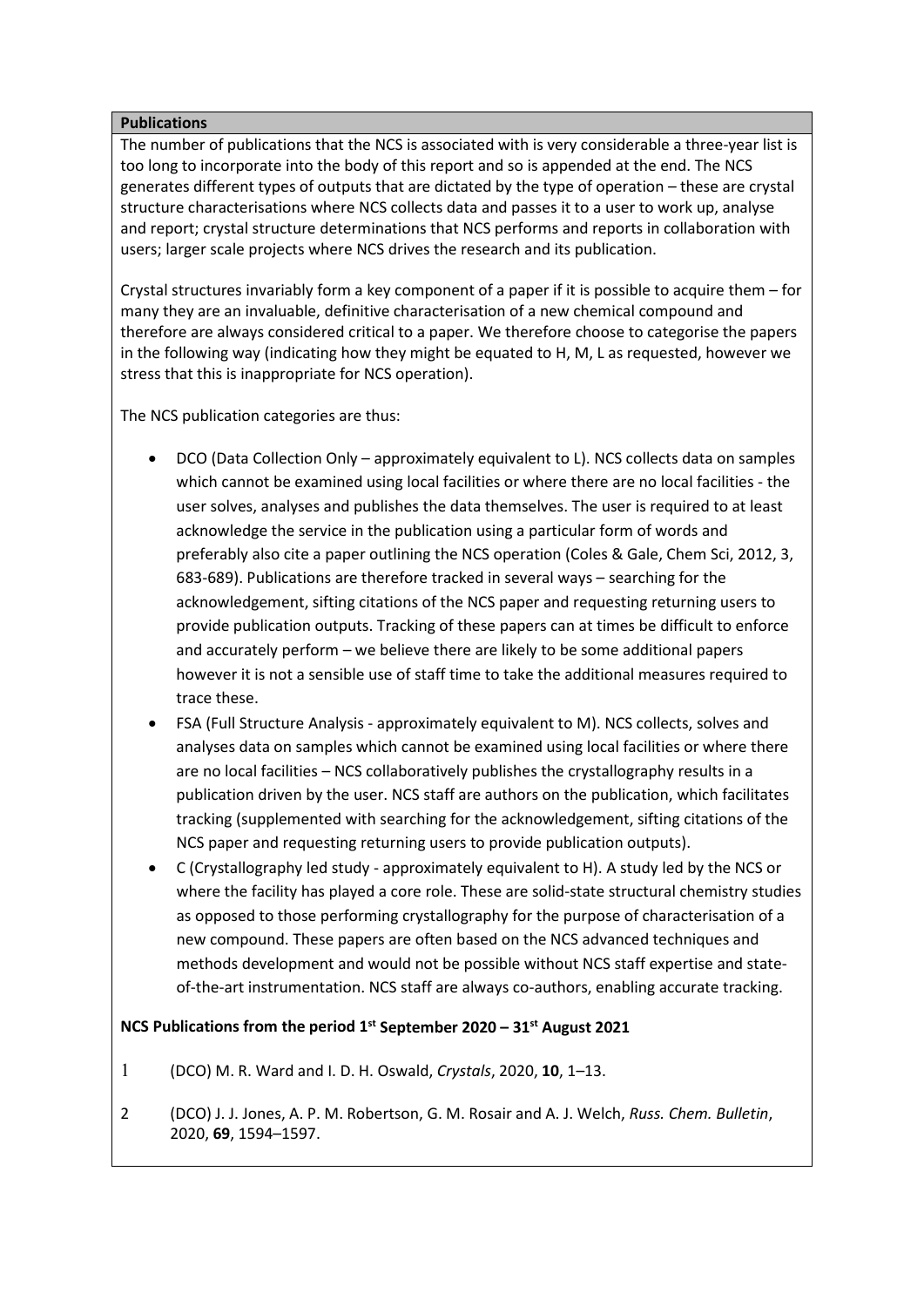### **Publications**

The number of publications that the NCS is associated with is very considerable a three-year list is too long to incorporate into the body of this report and so is appended at the end. The NCS generates different types of outputs that are dictated by the type of operation – these are crystal structure characterisations where NCS collects data and passes it to a user to work up, analyse and report; crystal structure determinations that NCS performs and reports in collaboration with users; larger scale projects where NCS drives the research and its publication.

Crystal structures invariably form a key component of a paper if it is possible to acquire them – for many they are an invaluable, definitive characterisation of a new chemical compound and therefore are always considered critical to a paper. We therefore choose to categorise the papers in the following way (indicating how they might be equated to H, M, L as requested, however we stress that this is inappropriate for NCS operation).

The NCS publication categories are thus:

- DCO (Data Collection Only approximately equivalent to L). NCS collects data on samples which cannot be examined using local facilities or where there are no local facilities - the user solves, analyses and publishes the data themselves. The user is required to at least acknowledge the service in the publication using a particular form of words and preferably also cite a paper outlining the NCS operation (Coles & Gale, Chem Sci, 2012, 3, 683-689). Publications are therefore tracked in several ways – searching for the acknowledgement, sifting citations of the NCS paper and requesting returning users to provide publication outputs. Tracking of these papers can at times be difficult to enforce and accurately perform – we believe there are likely to be some additional papers however it is not a sensible use of staff time to take the additional measures required to trace these.
- FSA (Full Structure Analysis approximately equivalent to M). NCS collects, solves and analyses data on samples which cannot be examined using local facilities or where there are no local facilities – NCS collaboratively publishes the crystallography results in a publication driven by the user. NCS staff are authors on the publication, which facilitates tracking (supplemented with searching for the acknowledgement, sifting citations of the NCS paper and requesting returning users to provide publication outputs).
- C (Crystallography led study approximately equivalent to H). A study led by the NCS or where the facility has played a core role. These are solid-state structural chemistry studies as opposed to those performing crystallography for the purpose of characterisation of a new compound. These papers are often based on the NCS advanced techniques and methods development and would not be possible without NCS staff expertise and stateof-the-art instrumentation. NCS staff are always co-authors, enabling accurate tracking.

# **NCS Publications from the period 1st September 2020 – 31st August 2021**

- 1 (DCO) M. R. Ward and I. D. H. Oswald, *Crystals*, 2020, **10**, 1–13.
- 2 (DCO) J. J. Jones, A. P. M. Robertson, G. M. Rosair and A. J. Welch, *Russ. Chem. Bulletin*, 2020, **69**, 1594–1597.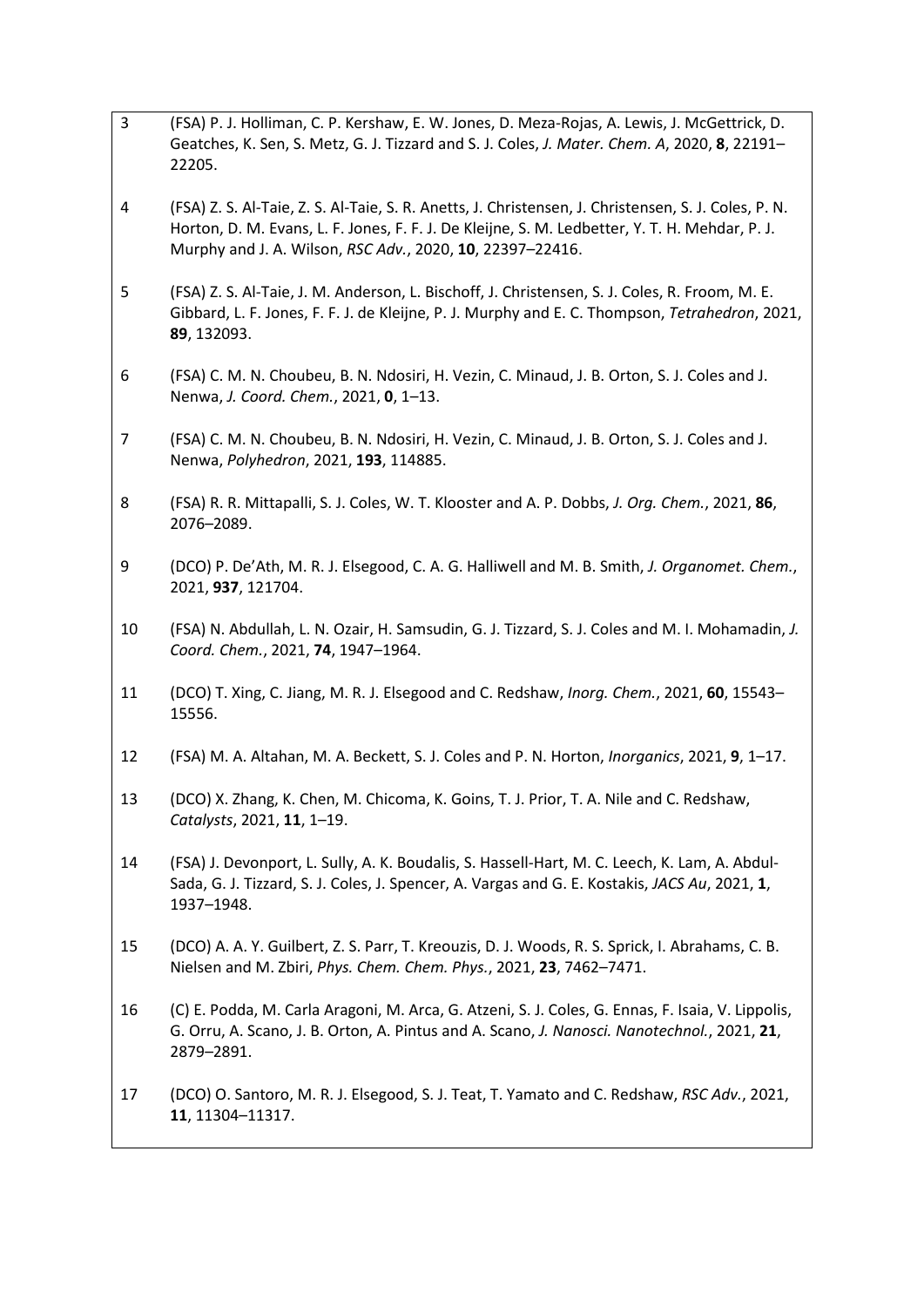| 3              | (FSA) P. J. Holliman, C. P. Kershaw, E. W. Jones, D. Meza-Rojas, A. Lewis, J. McGettrick, D.<br>Geatches, K. Sen, S. Metz, G. J. Tizzard and S. J. Coles, J. Mater. Chem. A, 2020, 8, 22191-<br>22205.                                                              |
|----------------|---------------------------------------------------------------------------------------------------------------------------------------------------------------------------------------------------------------------------------------------------------------------|
| 4              | (FSA) Z. S. Al-Taie, Z. S. Al-Taie, S. R. Anetts, J. Christensen, J. Christensen, S. J. Coles, P. N.<br>Horton, D. M. Evans, L. F. Jones, F. F. J. De Kleijne, S. M. Ledbetter, Y. T. H. Mehdar, P. J.<br>Murphy and J. A. Wilson, RSC Adv., 2020, 10, 22397-22416. |
| 5              | (FSA) Z. S. Al-Taie, J. M. Anderson, L. Bischoff, J. Christensen, S. J. Coles, R. Froom, M. E.<br>Gibbard, L. F. Jones, F. F. J. de Kleijne, P. J. Murphy and E. C. Thompson, Tetrahedron, 2021,<br>89, 132093.                                                     |
| 6              | (FSA) C. M. N. Choubeu, B. N. Ndosiri, H. Vezin, C. Minaud, J. B. Orton, S. J. Coles and J.<br>Nenwa, J. Coord. Chem., 2021, 0, 1-13.                                                                                                                               |
| $\overline{7}$ | (FSA) C. M. N. Choubeu, B. N. Ndosiri, H. Vezin, C. Minaud, J. B. Orton, S. J. Coles and J.<br>Nenwa, Polyhedron, 2021, 193, 114885.                                                                                                                                |
| 8              | (FSA) R. R. Mittapalli, S. J. Coles, W. T. Klooster and A. P. Dobbs, J. Org. Chem., 2021, 86,<br>2076-2089.                                                                                                                                                         |
| 9              | (DCO) P. De'Ath, M. R. J. Elsegood, C. A. G. Halliwell and M. B. Smith, J. Organomet. Chem.,<br>2021, 937, 121704.                                                                                                                                                  |
| 10             | (FSA) N. Abdullah, L. N. Ozair, H. Samsudin, G. J. Tizzard, S. J. Coles and M. I. Mohamadin, J.<br>Coord. Chem., 2021, 74, 1947-1964.                                                                                                                               |
| 11             | (DCO) T. Xing, C. Jiang, M. R. J. Elsegood and C. Redshaw, <i>Inorg. Chem.</i> , 2021, 60, 15543-<br>15556.                                                                                                                                                         |
| 12             | (FSA) M. A. Altahan, M. A. Beckett, S. J. Coles and P. N. Horton, Inorganics, 2021, 9, 1-17.                                                                                                                                                                        |
| 13             | (DCO) X. Zhang, K. Chen, M. Chicoma, K. Goins, T. J. Prior, T. A. Nile and C. Redshaw,<br>Catalysts, 2021, 11, 1-19.                                                                                                                                                |
| 14             | (FSA) J. Devonport, L. Sully, A. K. Boudalis, S. Hassell-Hart, M. C. Leech, K. Lam, A. Abdul-<br>Sada, G. J. Tizzard, S. J. Coles, J. Spencer, A. Vargas and G. E. Kostakis, JACS Au, 2021, 1,<br>1937-1948.                                                        |
| 15             | (DCO) A. A. Y. Guilbert, Z. S. Parr, T. Kreouzis, D. J. Woods, R. S. Sprick, I. Abrahams, C. B.<br>Nielsen and M. Zbiri, Phys. Chem. Chem. Phys., 2021, 23, 7462-7471.                                                                                              |
| 16             | (C) E. Podda, M. Carla Aragoni, M. Arca, G. Atzeni, S. J. Coles, G. Ennas, F. Isaia, V. Lippolis,<br>G. Orru, A. Scano, J. B. Orton, A. Pintus and A. Scano, J. Nanosci. Nanotechnol., 2021, 21,<br>2879-2891.                                                      |
| 17             | (DCO) O. Santoro, M. R. J. Elsegood, S. J. Teat, T. Yamato and C. Redshaw, RSC Adv., 2021,<br>11, 11304-11317.                                                                                                                                                      |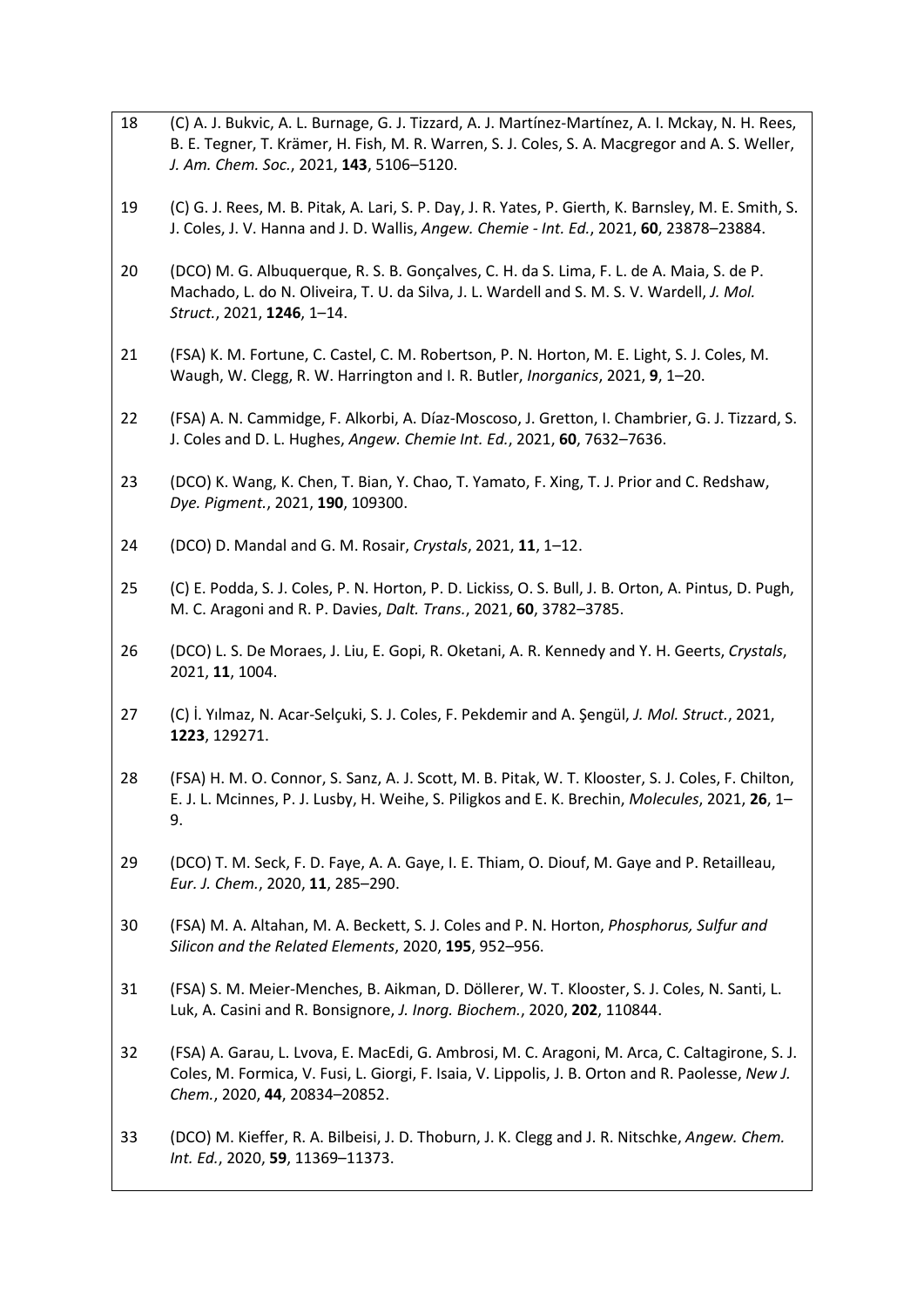- 18 (C) A. J. Bukvic, A. L. Burnage, G. J. Tizzard, A. J. Martínez-Martínez, A. I. Mckay, N. H. Rees, B. E. Tegner, T. Krämer, H. Fish, M. R. Warren, S. J. Coles, S. A. Macgregor and A. S. Weller, *J. Am. Chem. Soc.*, 2021, **143**, 5106–5120.
- 19 (C) G. J. Rees, M. B. Pitak, A. Lari, S. P. Day, J. R. Yates, P. Gierth, K. Barnsley, M. E. Smith, S. J. Coles, J. V. Hanna and J. D. Wallis, *Angew. Chemie - Int. Ed.*, 2021, **60**, 23878–23884.
- 20 (DCO) M. G. Albuquerque, R. S. B. Gonçalves, C. H. da S. Lima, F. L. de A. Maia, S. de P. Machado, L. do N. Oliveira, T. U. da Silva, J. L. Wardell and S. M. S. V. Wardell, *J. Mol. Struct.*, 2021, **1246**, 1–14.
- 21 (FSA) K. M. Fortune, C. Castel, C. M. Robertson, P. N. Horton, M. E. Light, S. J. Coles, M. Waugh, W. Clegg, R. W. Harrington and I. R. Butler, *Inorganics*, 2021, **9**, 1–20.
- 22 (FSA) A. N. Cammidge, F. Alkorbi, A. Díaz-Moscoso, J. Gretton, I. Chambrier, G. J. Tizzard, S. J. Coles and D. L. Hughes, *Angew. Chemie Int. Ed.*, 2021, **60**, 7632–7636.
- 23 (DCO) K. Wang, K. Chen, T. Bian, Y. Chao, T. Yamato, F. Xing, T. J. Prior and C. Redshaw, *Dye. Pigment.*, 2021, **190**, 109300.
- 24 (DCO) D. Mandal and G. M. Rosair, *Crystals*, 2021, **11**, 1–12.
- 25 (C) E. Podda, S. J. Coles, P. N. Horton, P. D. Lickiss, O. S. Bull, J. B. Orton, A. Pintus, D. Pugh, M. C. Aragoni and R. P. Davies, *Dalt. Trans.*, 2021, **60**, 3782–3785.
- 26 (DCO) L. S. De Moraes, J. Liu, E. Gopi, R. Oketani, A. R. Kennedy and Y. H. Geerts, *Crystals*, 2021, **11**, 1004.
- 27 (C) İ. Yılmaz, N. Acar-Selçuki, S. J. Coles, F. Pekdemir and A. Şengül, *J. Mol. Struct.*, 2021, **1223**, 129271.
- 28 (FSA) H. M. O. Connor, S. Sanz, A. J. Scott, M. B. Pitak, W. T. Klooster, S. J. Coles, F. Chilton, E. J. L. Mcinnes, P. J. Lusby, H. Weihe, S. Piligkos and E. K. Brechin, *Molecules*, 2021, **26**, 1– 9.
- 29 (DCO) T. M. Seck, F. D. Faye, A. A. Gaye, I. E. Thiam, O. Diouf, M. Gaye and P. Retailleau, *Eur. J. Chem.*, 2020, **11**, 285–290.
- 30 (FSA) M. A. Altahan, M. A. Beckett, S. J. Coles and P. N. Horton, *Phosphorus, Sulfur and Silicon and the Related Elements*, 2020, **195**, 952–956.
- 31 (FSA) S. M. Meier-Menches, B. Aikman, D. Döllerer, W. T. Klooster, S. J. Coles, N. Santi, L. Luk, A. Casini and R. Bonsignore, *J. Inorg. Biochem.*, 2020, **202**, 110844.
- 32 (FSA) A. Garau, L. Lvova, E. MacEdi, G. Ambrosi, M. C. Aragoni, M. Arca, C. Caltagirone, S. J. Coles, M. Formica, V. Fusi, L. Giorgi, F. Isaia, V. Lippolis, J. B. Orton and R. Paolesse, *New J. Chem.*, 2020, **44**, 20834–20852.
- 33 (DCO) M. Kieffer, R. A. Bilbeisi, J. D. Thoburn, J. K. Clegg and J. R. Nitschke, *Angew. Chem. Int. Ed.*, 2020, **59**, 11369–11373.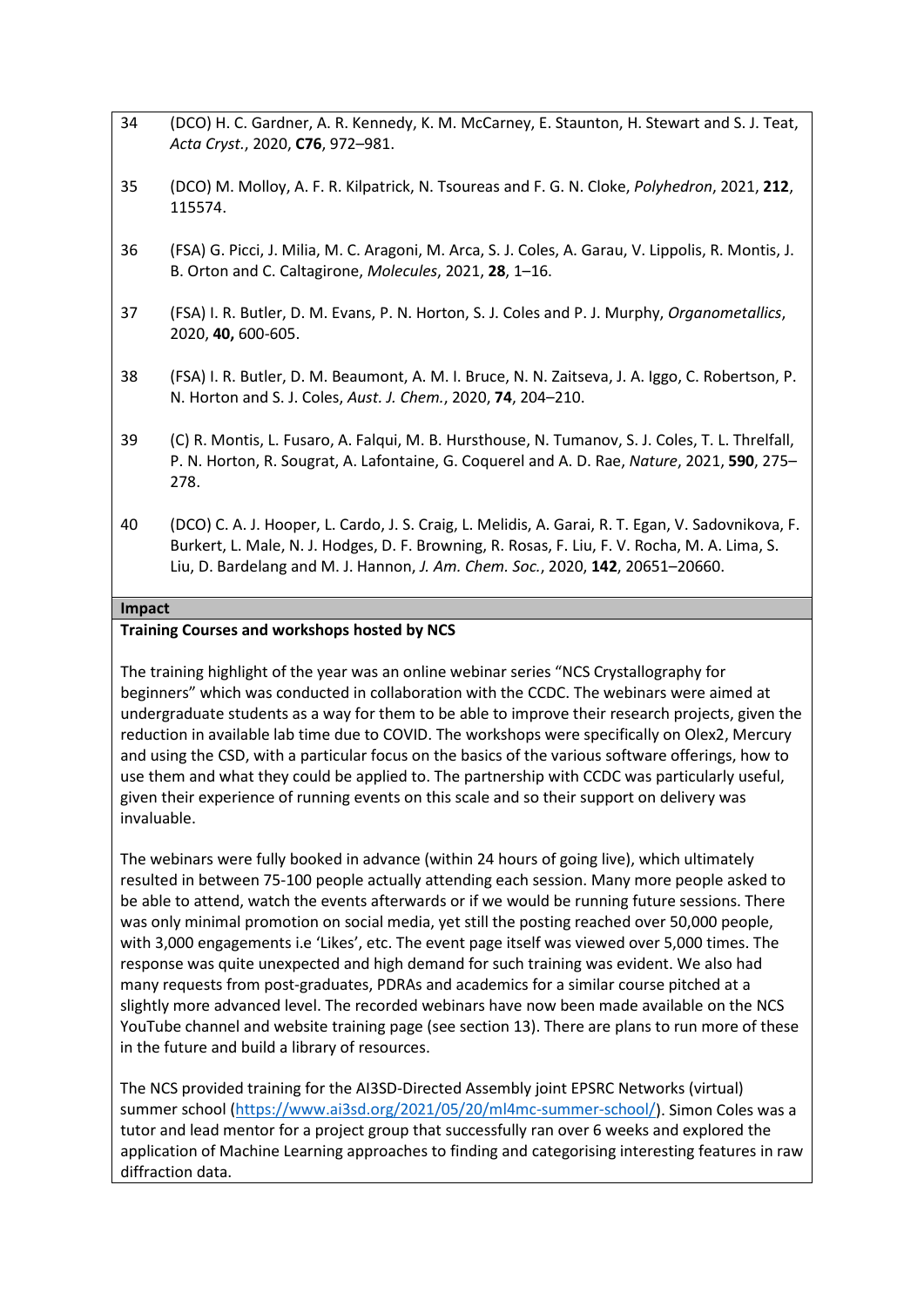- 34 (DCO) H. C. Gardner, A. R. Kennedy, K. M. McCarney, E. Staunton, H. Stewart and S. J. Teat, *Acta Cryst.*, 2020, **C76**, 972–981.
- 35 (DCO) M. Molloy, A. F. R. Kilpatrick, N. Tsoureas and F. G. N. Cloke, *Polyhedron*, 2021, **212**, 115574.
- 36 (FSA) G. Picci, J. Milia, M. C. Aragoni, M. Arca, S. J. Coles, A. Garau, V. Lippolis, R. Montis, J. B. Orton and C. Caltagirone, *Molecules*, 2021, **28**, 1–16.
- 37 (FSA) I. R. Butler, D. M. Evans, P. N. Horton, S. J. Coles and P. J. Murphy, *Organometallics*, 2020, **40,** 600-605.
- 38 (FSA) I. R. Butler, D. M. Beaumont, A. M. I. Bruce, N. N. Zaitseva, J. A. Iggo, C. Robertson, P. N. Horton and S. J. Coles, *Aust. J. Chem.*, 2020, **74**, 204–210.
- 39 (C) R. Montis, L. Fusaro, A. Falqui, M. B. Hursthouse, N. Tumanov, S. J. Coles, T. L. Threlfall, P. N. Horton, R. Sougrat, A. Lafontaine, G. Coquerel and A. D. Rae, *Nature*, 2021, **590**, 275– 278.
- 40 (DCO) C. A. J. Hooper, L. Cardo, J. S. Craig, L. Melidis, A. Garai, R. T. Egan, V. Sadovnikova, F. Burkert, L. Male, N. J. Hodges, D. F. Browning, R. Rosas, F. Liu, F. V. Rocha, M. A. Lima, S. Liu, D. Bardelang and M. J. Hannon, *J. Am. Chem. Soc.*, 2020, **142**, 20651–20660.

#### **Impact**

#### **Training Courses and workshops hosted by NCS**

The training highlight of the year was an online webinar series "NCS Crystallography for beginners" which was conducted in collaboration with the CCDC. The webinars were aimed at undergraduate students as a way for them to be able to improve their research projects, given the reduction in available lab time due to COVID. The workshops were specifically on Olex2, Mercury and using the CSD, with a particular focus on the basics of the various software offerings, how to use them and what they could be applied to. The partnership with CCDC was particularly useful, given their experience of running events on this scale and so their support on delivery was invaluable.

The webinars were fully booked in advance (within 24 hours of going live), which ultimately resulted in between 75-100 people actually attending each session. Many more people asked to be able to attend, watch the events afterwards or if we would be running future sessions. There was only minimal promotion on social media, yet still the posting reached over 50,000 people, with 3,000 engagements i.e 'Likes', etc. The event page itself was viewed over 5,000 times. The response was quite unexpected and high demand for such training was evident. We also had many requests from post-graduates, PDRAs and academics for a similar course pitched at a slightly more advanced level. The recorded webinars have now been made available on the NCS YouTube channel and website training page (see section 13). There are plans to run more of these in the future and build a library of resources.

The NCS provided training for the AI3SD-Directed Assembly joint EPSRC Networks (virtual) summer school [\(https://www.ai3sd.org/2021/05/20/ml4mc-summer-school/\)](https://www.ai3sd.org/2021/05/20/ml4mc-summer-school/). Simon Coles was a tutor and lead mentor for a project group that successfully ran over 6 weeks and explored the application of Machine Learning approaches to finding and categorising interesting features in raw diffraction data.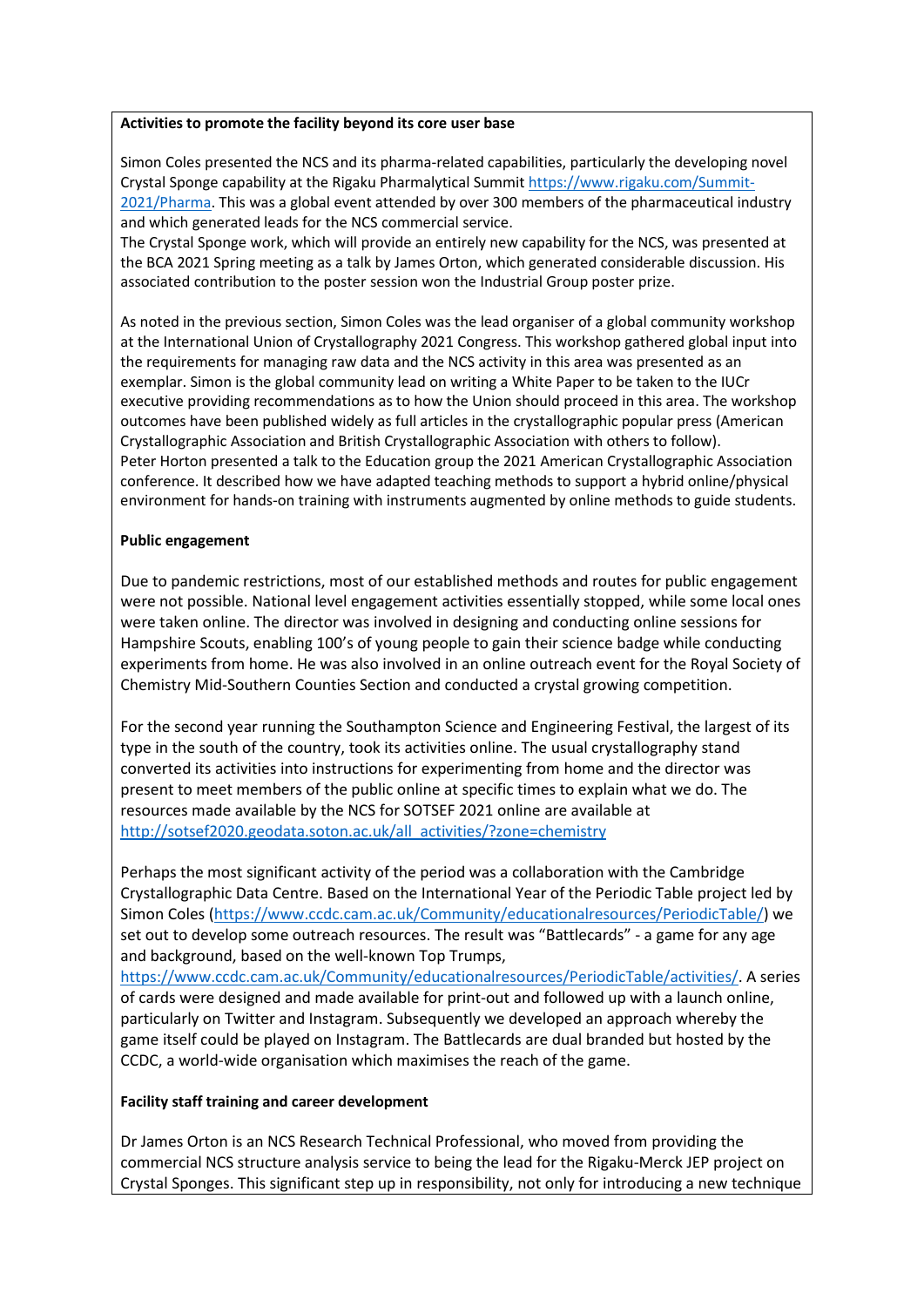#### **Activities to promote the facility beyond its core user base**

Simon Coles presented the NCS and its pharma-related capabilities, particularly the developing novel Crystal Sponge capability at the Rigaku Pharmalytical Summit [https://www.rigaku.com/Summit-](https://www.rigaku.com/Summit-2021/Pharma)[2021/Pharma.](https://www.rigaku.com/Summit-2021/Pharma) This was a global event attended by over 300 members of the pharmaceutical industry and which generated leads for the NCS commercial service.

The Crystal Sponge work, which will provide an entirely new capability for the NCS, was presented at the BCA 2021 Spring meeting as a talk by James Orton, which generated considerable discussion. His associated contribution to the poster session won the Industrial Group poster prize.

As noted in the previous section, Simon Coles was the lead organiser of a global community workshop at the International Union of Crystallography 2021 Congress. This workshop gathered global input into the requirements for managing raw data and the NCS activity in this area was presented as an exemplar. Simon is the global community lead on writing a White Paper to be taken to the IUCr executive providing recommendations as to how the Union should proceed in this area. The workshop outcomes have been published widely as full articles in the crystallographic popular press (American Crystallographic Association and British Crystallographic Association with others to follow). Peter Horton presented a talk to the Education group the 2021 American Crystallographic Association conference. It described how we have adapted teaching methods to support a hybrid online/physical environment for hands-on training with instruments augmented by online methods to guide students.

# **Public engagement**

Due to pandemic restrictions, most of our established methods and routes for public engagement were not possible. National level engagement activities essentially stopped, while some local ones were taken online. The director was involved in designing and conducting online sessions for Hampshire Scouts, enabling 100's of young people to gain their science badge while conducting experiments from home. He was also involved in an online outreach event for the Royal Society of Chemistry Mid-Southern Counties Section and conducted a crystal growing competition.

For the second year running the Southampton Science and Engineering Festival, the largest of its type in the south of the country, took its activities online. The usual crystallography stand converted its activities into instructions for experimenting from home and the director was present to meet members of the public online at specific times to explain what we do. The resources made available by the NCS for SOTSEF 2021 online are available at [http://sotsef2020.geodata.soton.ac.uk/all\\_activities/?zone=chemistry](http://sotsef2020.geodata.soton.ac.uk/all_activities/?zone=chemistry)

Perhaps the most significant activity of the period was a collaboration with the Cambridge Crystallographic Data Centre. Based on the International Year of the Periodic Table project led by Simon Coles [\(https://www.ccdc.cam.ac.uk/Community/educationalresources/PeriodicTable/\)](https://www.ccdc.cam.ac.uk/Community/educationalresources/PeriodicTable/) we set out to develop some outreach resources. The result was "Battlecards" - a game for any age and background, based on the well-known Top Trumps,

[https://www.ccdc.cam.ac.uk/Community/educationalresources/PeriodicTable/activities/.](https://www.ccdc.cam.ac.uk/Community/educationalresources/PeriodicTable/activities/) A series of cards were designed and made available for print-out and followed up with a launch online, particularly on Twitter and Instagram. Subsequently we developed an approach whereby the game itself could be played on Instagram. The Battlecards are dual branded but hosted by the CCDC, a world-wide organisation which maximises the reach of the game.

### **Facility staff training and career development**

Dr James Orton is an NCS Research Technical Professional, who moved from providing the commercial NCS structure analysis service to being the lead for the Rigaku-Merck JEP project on Crystal Sponges. This significant step up in responsibility, not only for introducing a new technique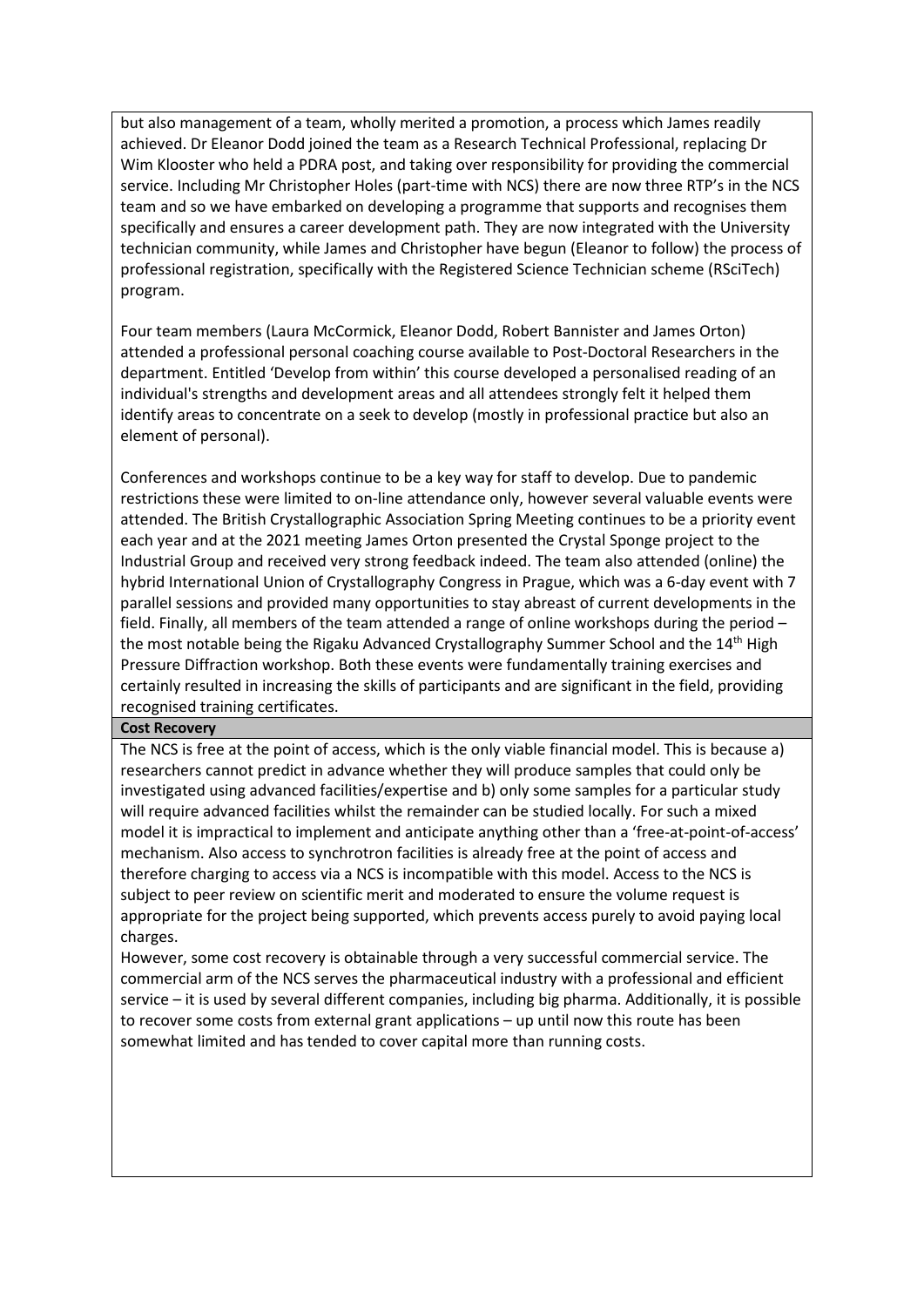but also management of a team, wholly merited a promotion, a process which James readily achieved. Dr Eleanor Dodd joined the team as a Research Technical Professional, replacing Dr Wim Klooster who held a PDRA post, and taking over responsibility for providing the commercial service. Including Mr Christopher Holes (part-time with NCS) there are now three RTP's in the NCS team and so we have embarked on developing a programme that supports and recognises them specifically and ensures a career development path. They are now integrated with the University technician community, while James and Christopher have begun (Eleanor to follow) the process of professional registration, specifically with the Registered Science Technician scheme (RSciTech) program.

Four team members (Laura McCormick, Eleanor Dodd, Robert Bannister and James Orton) attended a professional personal coaching course available to Post-Doctoral Researchers in the department. Entitled 'Develop from within' this course developed a personalised reading of an individual's strengths and development areas and all attendees strongly felt it helped them identify areas to concentrate on a seek to develop (mostly in professional practice but also an element of personal).

Conferences and workshops continue to be a key way for staff to develop. Due to pandemic restrictions these were limited to on-line attendance only, however several valuable events were attended. The British Crystallographic Association Spring Meeting continues to be a priority event each year and at the 2021 meeting James Orton presented the Crystal Sponge project to the Industrial Group and received very strong feedback indeed. The team also attended (online) the hybrid International Union of Crystallography Congress in Prague, which was a 6-day event with 7 parallel sessions and provided many opportunities to stay abreast of current developments in the field. Finally, all members of the team attended a range of online workshops during the period – the most notable being the Rigaku Advanced Crystallography Summer School and the 14<sup>th</sup> High Pressure Diffraction workshop. Both these events were fundamentally training exercises and certainly resulted in increasing the skills of participants and are significant in the field, providing recognised training certificates.

#### **Cost Recovery**

The NCS is free at the point of access, which is the only viable financial model. This is because a) researchers cannot predict in advance whether they will produce samples that could only be investigated using advanced facilities/expertise and b) only some samples for a particular study will require advanced facilities whilst the remainder can be studied locally. For such a mixed model it is impractical to implement and anticipate anything other than a 'free-at-point-of-access' mechanism. Also access to synchrotron facilities is already free at the point of access and therefore charging to access via a NCS is incompatible with this model. Access to the NCS is subject to peer review on scientific merit and moderated to ensure the volume request is appropriate for the project being supported, which prevents access purely to avoid paying local charges.

However, some cost recovery is obtainable through a very successful commercial service. The commercial arm of the NCS serves the pharmaceutical industry with a professional and efficient service – it is used by several different companies, including big pharma. Additionally, it is possible to recover some costs from external grant applications – up until now this route has been somewhat limited and has tended to cover capital more than running costs.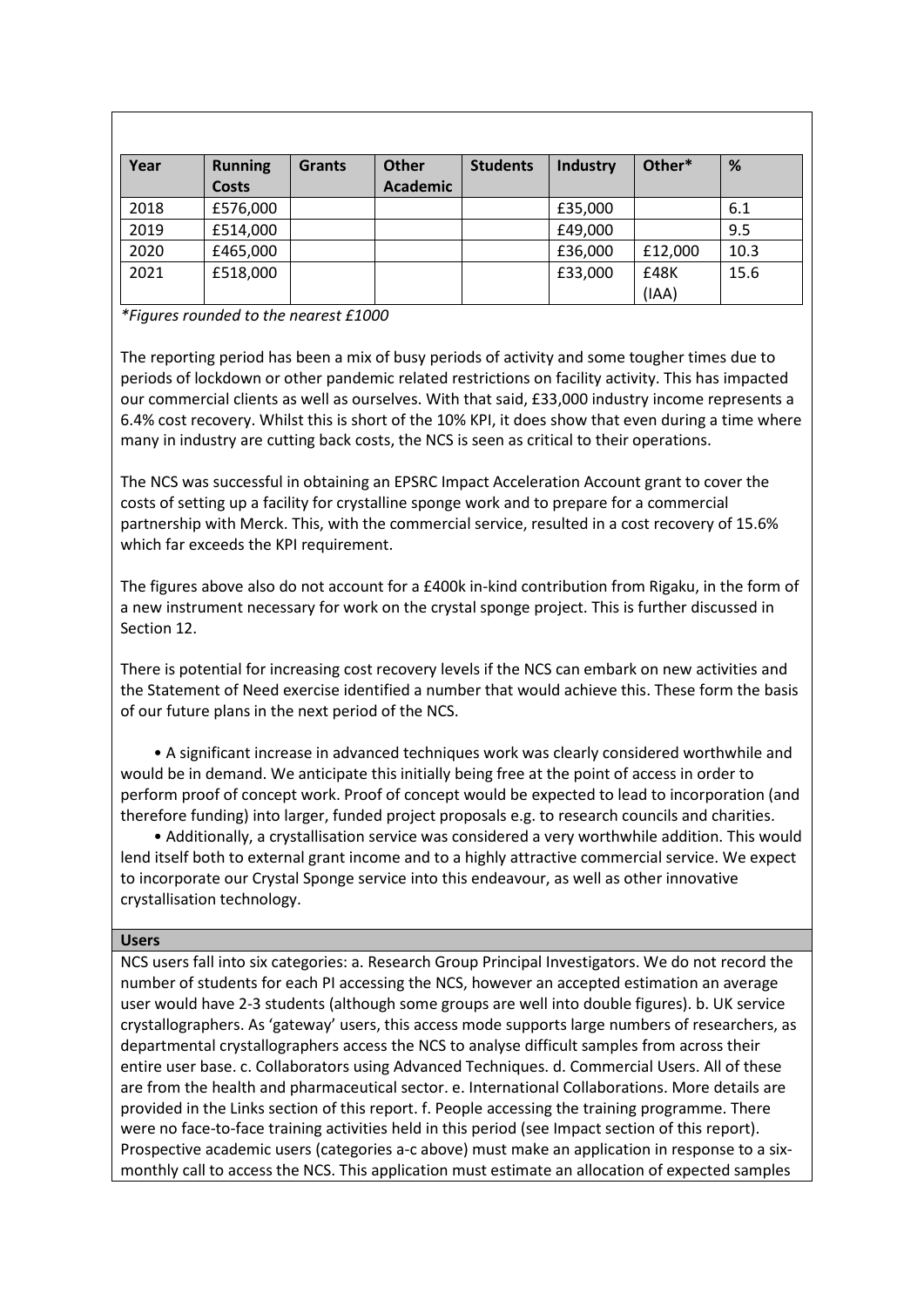| Year | <b>Running</b> | <b>Grants</b> | <b>Other</b>    | <b>Students</b> | Industry | Other*  | %    |
|------|----------------|---------------|-----------------|-----------------|----------|---------|------|
|      | <b>Costs</b>   |               | <b>Academic</b> |                 |          |         |      |
| 2018 | £576,000       |               |                 |                 | £35,000  |         | 6.1  |
| 2019 | £514,000       |               |                 |                 | £49,000  |         | 9.5  |
| 2020 | £465,000       |               |                 |                 | £36,000  | £12,000 | 10.3 |
| 2021 | £518,000       |               |                 |                 | £33,000  | £48K    | 15.6 |
|      |                |               |                 |                 |          | (IAA)   |      |

*\*Figures rounded to the nearest £1000*

The reporting period has been a mix of busy periods of activity and some tougher times due to periods of lockdown or other pandemic related restrictions on facility activity. This has impacted our commercial clients as well as ourselves. With that said, £33,000 industry income represents a 6.4% cost recovery. Whilst this is short of the 10% KPI, it does show that even during a time where many in industry are cutting back costs, the NCS is seen as critical to their operations.

The NCS was successful in obtaining an EPSRC Impact Acceleration Account grant to cover the costs of setting up a facility for crystalline sponge work and to prepare for a commercial partnership with Merck. This, with the commercial service, resulted in a cost recovery of 15.6% which far exceeds the KPI requirement.

The figures above also do not account for a £400k in-kind contribution from Rigaku, in the form of a new instrument necessary for work on the crystal sponge project. This is further discussed in Section 12.

There is potential for increasing cost recovery levels if the NCS can embark on new activities and the Statement of Need exercise identified a number that would achieve this. These form the basis of our future plans in the next period of the NCS.

• A significant increase in advanced techniques work was clearly considered worthwhile and would be in demand. We anticipate this initially being free at the point of access in order to perform proof of concept work. Proof of concept would be expected to lead to incorporation (and therefore funding) into larger, funded project proposals e.g. to research councils and charities.

• Additionally, a crystallisation service was considered a very worthwhile addition. This would lend itself both to external grant income and to a highly attractive commercial service. We expect to incorporate our Crystal Sponge service into this endeavour, as well as other innovative crystallisation technology.

### **Users**

NCS users fall into six categories: a. Research Group Principal Investigators. We do not record the number of students for each PI accessing the NCS, however an accepted estimation an average user would have 2-3 students (although some groups are well into double figures). b. UK service crystallographers. As 'gateway' users, this access mode supports large numbers of researchers, as departmental crystallographers access the NCS to analyse difficult samples from across their entire user base. c. Collaborators using Advanced Techniques. d. Commercial Users. All of these are from the health and pharmaceutical sector. e. International Collaborations. More details are provided in the Links section of this report. f. People accessing the training programme. There were no face-to-face training activities held in this period (see Impact section of this report). Prospective academic users (categories a-c above) must make an application in response to a sixmonthly call to access the NCS. This application must estimate an allocation of expected samples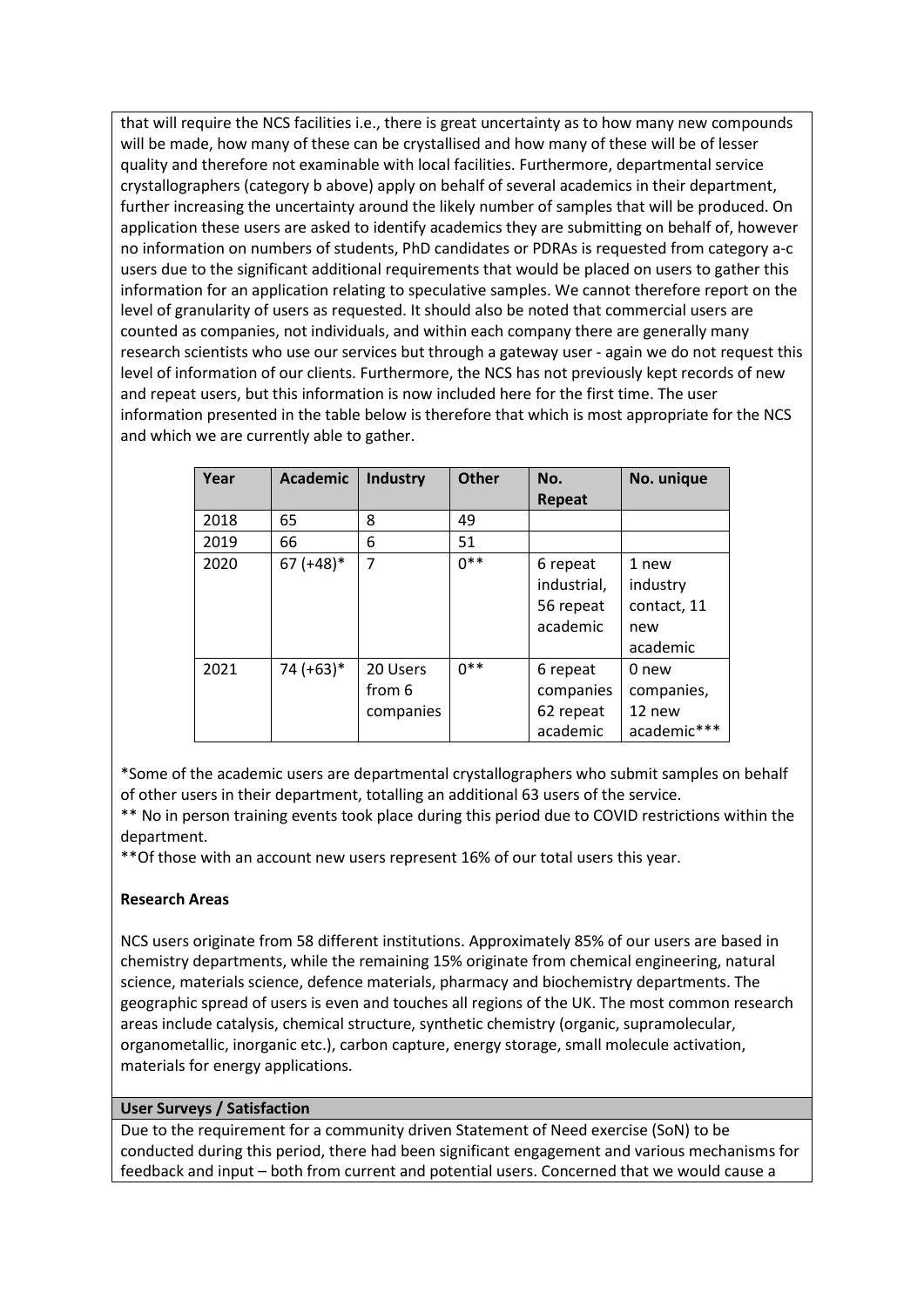that will require the NCS facilities i.e., there is great uncertainty as to how many new compounds will be made, how many of these can be crystallised and how many of these will be of lesser quality and therefore not examinable with local facilities. Furthermore, departmental service crystallographers (category b above) apply on behalf of several academics in their department, further increasing the uncertainty around the likely number of samples that will be produced. On application these users are asked to identify academics they are submitting on behalf of, however no information on numbers of students, PhD candidates or PDRAs is requested from category a-c users due to the significant additional requirements that would be placed on users to gather this information for an application relating to speculative samples. We cannot therefore report on the level of granularity of users as requested. It should also be noted that commercial users are counted as companies, not individuals, and within each company there are generally many research scientists who use our services but through a gateway user - again we do not request this level of information of our clients. Furthermore, the NCS has not previously kept records of new and repeat users, but this information is now included here for the first time. The user information presented in the table below is therefore that which is most appropriate for the NCS and which we are currently able to gather.

| Year | <b>Academic</b> | Industry  | <b>Other</b> | No.         | No. unique  |
|------|-----------------|-----------|--------------|-------------|-------------|
|      |                 |           |              | Repeat      |             |
| 2018 | 65              | 8         | 49           |             |             |
| 2019 | 66              | 6         | 51           |             |             |
| 2020 | $67 (+48)^*$    | 7         | $0***$       | 6 repeat    | 1 new       |
|      |                 |           |              | industrial, | industry    |
|      |                 |           |              | 56 repeat   | contact, 11 |
|      |                 |           |              | academic    | new         |
|      |                 |           |              |             | academic    |
| 2021 | 74 (+63)*       | 20 Users  | $0**$        | 6 repeat    | 0 new       |
|      |                 | from 6    |              | companies   | companies,  |
|      |                 | companies |              | 62 repeat   | 12 new      |
|      |                 |           |              | academic    | academic*** |

\*Some of the academic users are departmental crystallographers who submit samples on behalf of other users in their department, totalling an additional 63 users of the service.

\*\* No in person training events took place during this period due to COVID restrictions within the department.

\*\*Of those with an account new users represent 16% of our total users this year.

# **Research Areas**

NCS users originate from 58 different institutions. Approximately 85% of our users are based in chemistry departments, while the remaining 15% originate from chemical engineering, natural science, materials science, defence materials, pharmacy and biochemistry departments. The geographic spread of users is even and touches all regions of the UK. The most common research areas include catalysis, chemical structure, synthetic chemistry (organic, supramolecular, organometallic, inorganic etc.), carbon capture, energy storage, small molecule activation, materials for energy applications.

# **User Surveys / Satisfaction**

Due to the requirement for a community driven Statement of Need exercise (SoN) to be conducted during this period, there had been significant engagement and various mechanisms for feedback and input – both from current and potential users. Concerned that we would cause a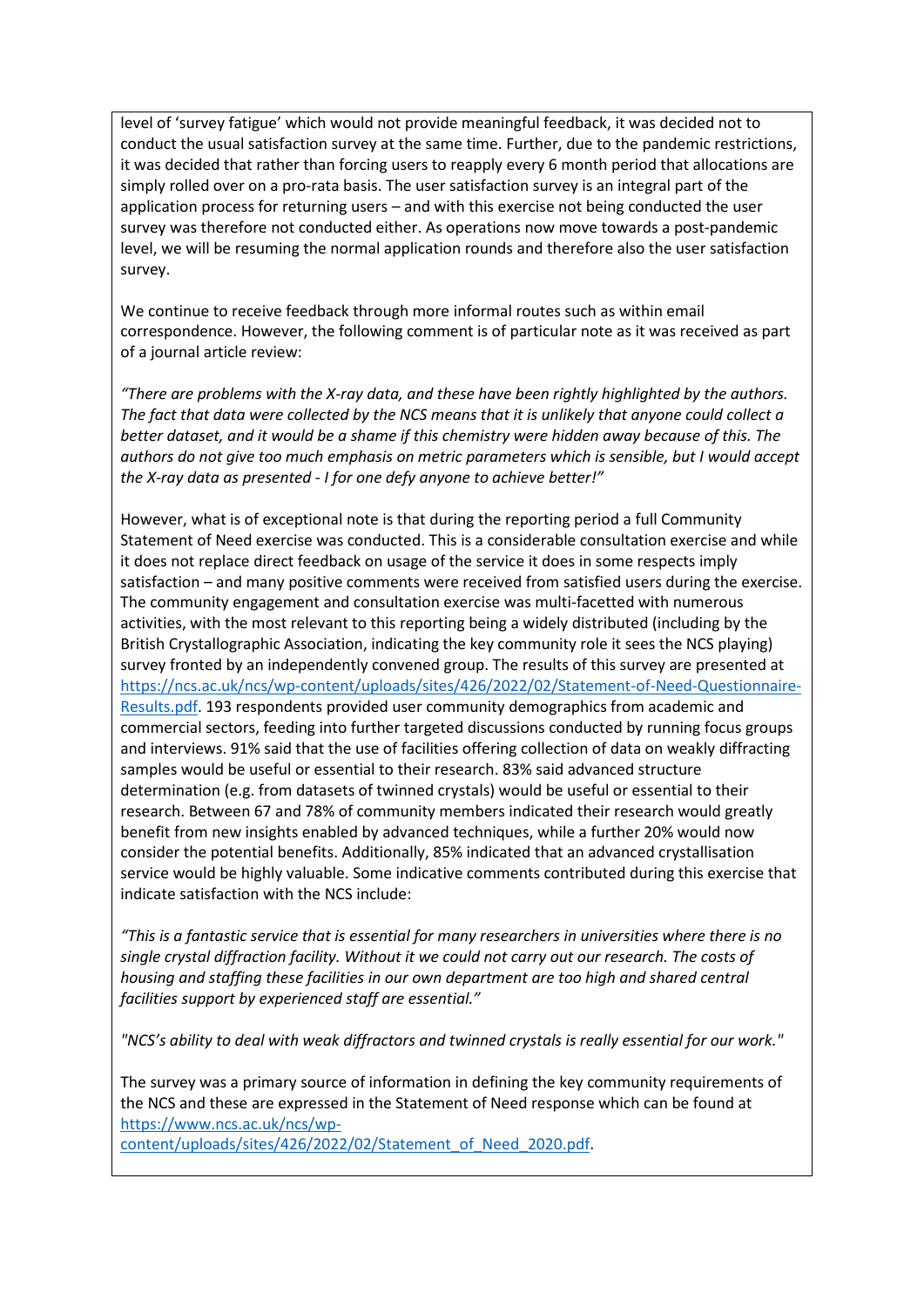level of 'survey fatigue' which would not provide meaningful feedback, it was decided not to conduct the usual satisfaction survey at the same time. Further, due to the pandemic restrictions, it was decided that rather than forcing users to reapply every 6 month period that allocations are simply rolled over on a pro-rata basis. The user satisfaction survey is an integral part of the application process for returning users – and with this exercise not being conducted the user survey was therefore not conducted either. As operations now move towards a post-pandemic level, we will be resuming the normal application rounds and therefore also the user satisfaction survey.

We continue to receive feedback through more informal routes such as within email correspondence. However, the following comment is of particular note as it was received as part of a journal article review:

*"There are problems with the X-ray data, and these have been rightly highlighted by the authors. The fact that data were collected by the NCS means that it is unlikely that anyone could collect a better dataset, and it would be a shame if this chemistry were hidden away because of this. The authors do not give too much emphasis on metric parameters which is sensible, but I would accept the X-ray data as presented - I for one defy anyone to achieve better!"*

However, what is of exceptional note is that during the reporting period a full Community Statement of Need exercise was conducted. This is a considerable consultation exercise and while it does not replace direct feedback on usage of the service it does in some respects imply satisfaction – and many positive comments were received from satisfied users during the exercise. The community engagement and consultation exercise was multi-facetted with numerous activities, with the most relevant to this reporting being a widely distributed (including by the British Crystallographic Association, indicating the key community role it sees the NCS playing) survey fronted by an independently convened group. The results of this survey are presented at [https://ncs.ac.uk/ncs/wp-content/uploads/sites/426/2022/02/Statement-of-Need-Questionnaire-](https://ncs.ac.uk/ncs/wp-content/uploads/sites/426/2022/02/Statement-of-Need-Questionnaire-Results.pdf)[Results.pdf.](https://ncs.ac.uk/ncs/wp-content/uploads/sites/426/2022/02/Statement-of-Need-Questionnaire-Results.pdf) 193 respondents provided user community demographics from academic and commercial sectors, feeding into further targeted discussions conducted by running focus groups and interviews. 91% said that the use of facilities offering collection of data on weakly diffracting samples would be useful or essential to their research. 83% said advanced structure determination (e.g. from datasets of twinned crystals) would be useful or essential to their research. Between 67 and 78% of community members indicated their research would greatly benefit from new insights enabled by advanced techniques, while a further 20% would now consider the potential benefits. Additionally, 85% indicated that an advanced crystallisation service would be highly valuable. Some indicative comments contributed during this exercise that indicate satisfaction with the NCS include:

*"This is a fantastic service that is essential for many researchers in universities where there is no single crystal diffraction facility. Without it we could not carry out our research. The costs of housing and staffing these facilities in our own department are too high and shared central facilities support by experienced staff are essential."* 

*"NCS's ability to deal with weak diffractors and twinned crystals is really essential for our work."*

The survey was a primary source of information in defining the key community requirements of the NCS and these are expressed in the Statement of Need response which can be found at [https://www.ncs.ac.uk/ncs/wp-](https://www.ncs.ac.uk/ncs/wp-content/uploads/sites/426/2022/02/Statement_of_Need_2020.pdf)

[content/uploads/sites/426/2022/02/Statement\\_of\\_Need\\_2020.pdf.](https://www.ncs.ac.uk/ncs/wp-content/uploads/sites/426/2022/02/Statement_of_Need_2020.pdf)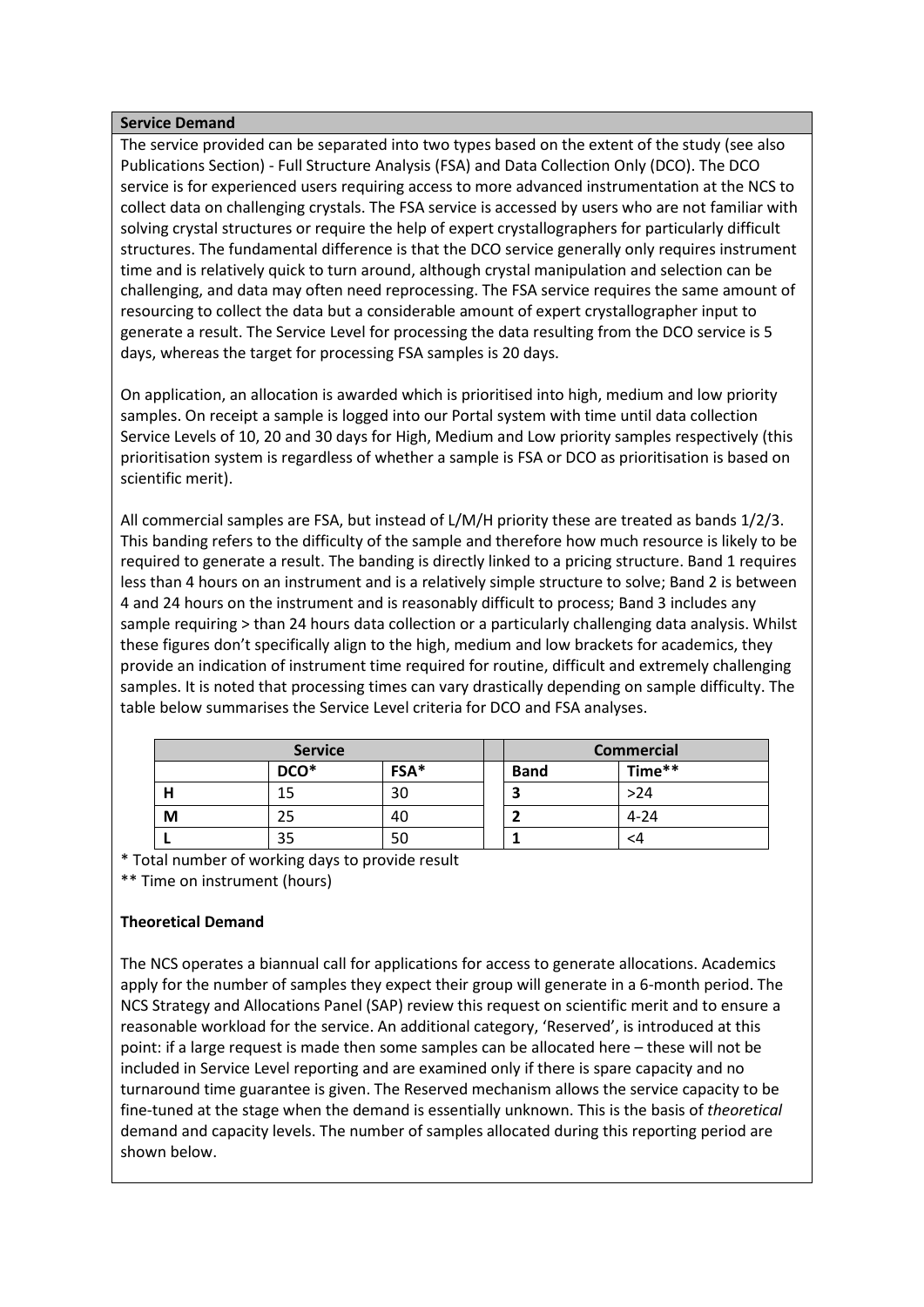### **Service Demand**

The service provided can be separated into two types based on the extent of the study (see also Publications Section) - Full Structure Analysis (FSA) and Data Collection Only (DCO). The DCO service is for experienced users requiring access to more advanced instrumentation at the NCS to collect data on challenging crystals. The FSA service is accessed by users who are not familiar with solving crystal structures or require the help of expert crystallographers for particularly difficult structures. The fundamental difference is that the DCO service generally only requires instrument time and is relatively quick to turn around, although crystal manipulation and selection can be challenging, and data may often need reprocessing. The FSA service requires the same amount of resourcing to collect the data but a considerable amount of expert crystallographer input to generate a result. The Service Level for processing the data resulting from the DCO service is 5 days, whereas the target for processing FSA samples is 20 days.

On application, an allocation is awarded which is prioritised into high, medium and low priority samples. On receipt a sample is logged into our Portal system with time until data collection Service Levels of 10, 20 and 30 days for High, Medium and Low priority samples respectively (this prioritisation system is regardless of whether a sample is FSA or DCO as prioritisation is based on scientific merit).

All commercial samples are FSA, but instead of L/M/H priority these are treated as bands 1/2/3. This banding refers to the difficulty of the sample and therefore how much resource is likely to be required to generate a result. The banding is directly linked to a pricing structure. Band 1 requires less than 4 hours on an instrument and is a relatively simple structure to solve; Band 2 is between 4 and 24 hours on the instrument and is reasonably difficult to process; Band 3 includes any sample requiring > than 24 hours data collection or a particularly challenging data analysis. Whilst these figures don't specifically align to the high, medium and low brackets for academics, they provide an indication of instrument time required for routine, difficult and extremely challenging samples. It is noted that processing times can vary drastically depending on sample difficulty. The table below summarises the Service Level criteria for DCO and FSA analyses.

|   | <b>Service</b> |    |             | <b>Commercial</b> |
|---|----------------|----|-------------|-------------------|
|   | FSA*<br>DCO*   |    | <b>Band</b> | Time**            |
|   |                | 30 |             | >24               |
| M |                | 40 |             | $4 - 24$          |
|   | 35             | 50 |             | <4                |

\* Total number of working days to provide result

\*\* Time on instrument (hours)

# **Theoretical Demand**

The NCS operates a biannual call for applications for access to generate allocations. Academics apply for the number of samples they expect their group will generate in a 6-month period. The NCS Strategy and Allocations Panel (SAP) review this request on scientific merit and to ensure a reasonable workload for the service. An additional category, 'Reserved', is introduced at this point: if a large request is made then some samples can be allocated here – these will not be included in Service Level reporting and are examined only if there is spare capacity and no turnaround time guarantee is given. The Reserved mechanism allows the service capacity to be fine-tuned at the stage when the demand is essentially unknown. This is the basis of *theoretical*  demand and capacity levels. The number of samples allocated during this reporting period are shown below.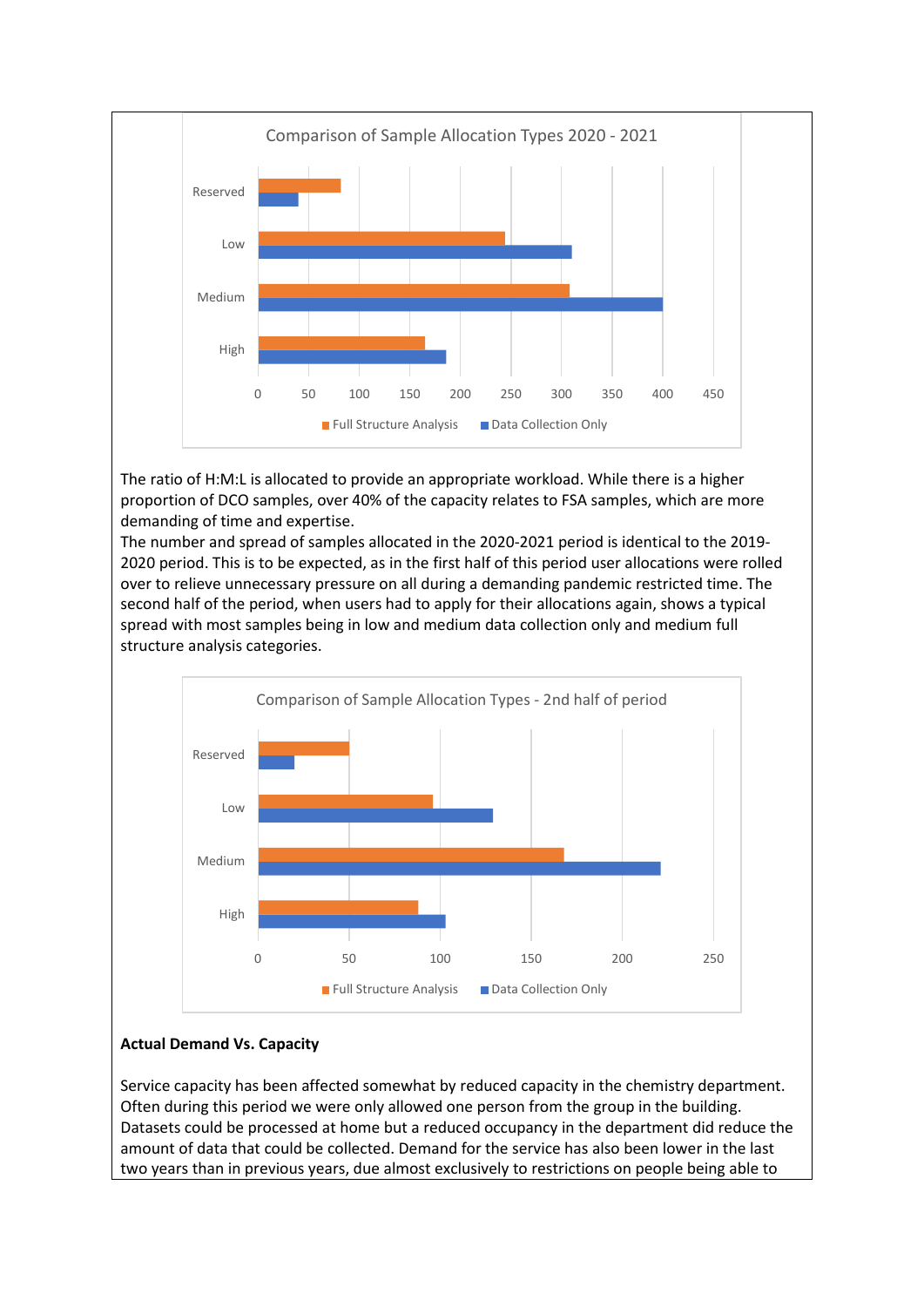

The ratio of H:M:L is allocated to provide an appropriate workload. While there is a higher proportion of DCO samples, over 40% of the capacity relates to FSA samples, which are more demanding of time and expertise.

The number and spread of samples allocated in the 2020-2021 period is identical to the 2019- 2020 period. This is to be expected, as in the first half of this period user allocations were rolled over to relieve unnecessary pressure on all during a demanding pandemic restricted time. The second half of the period, when users had to apply for their allocations again, shows a typical spread with most samples being in low and medium data collection only and medium full structure analysis categories.



# **Actual Demand Vs. Capacity**

Service capacity has been affected somewhat by reduced capacity in the chemistry department. Often during this period we were only allowed one person from the group in the building. Datasets could be processed at home but a reduced occupancy in the department did reduce the amount of data that could be collected. Demand for the service has also been lower in the last two years than in previous years, due almost exclusively to restrictions on people being able to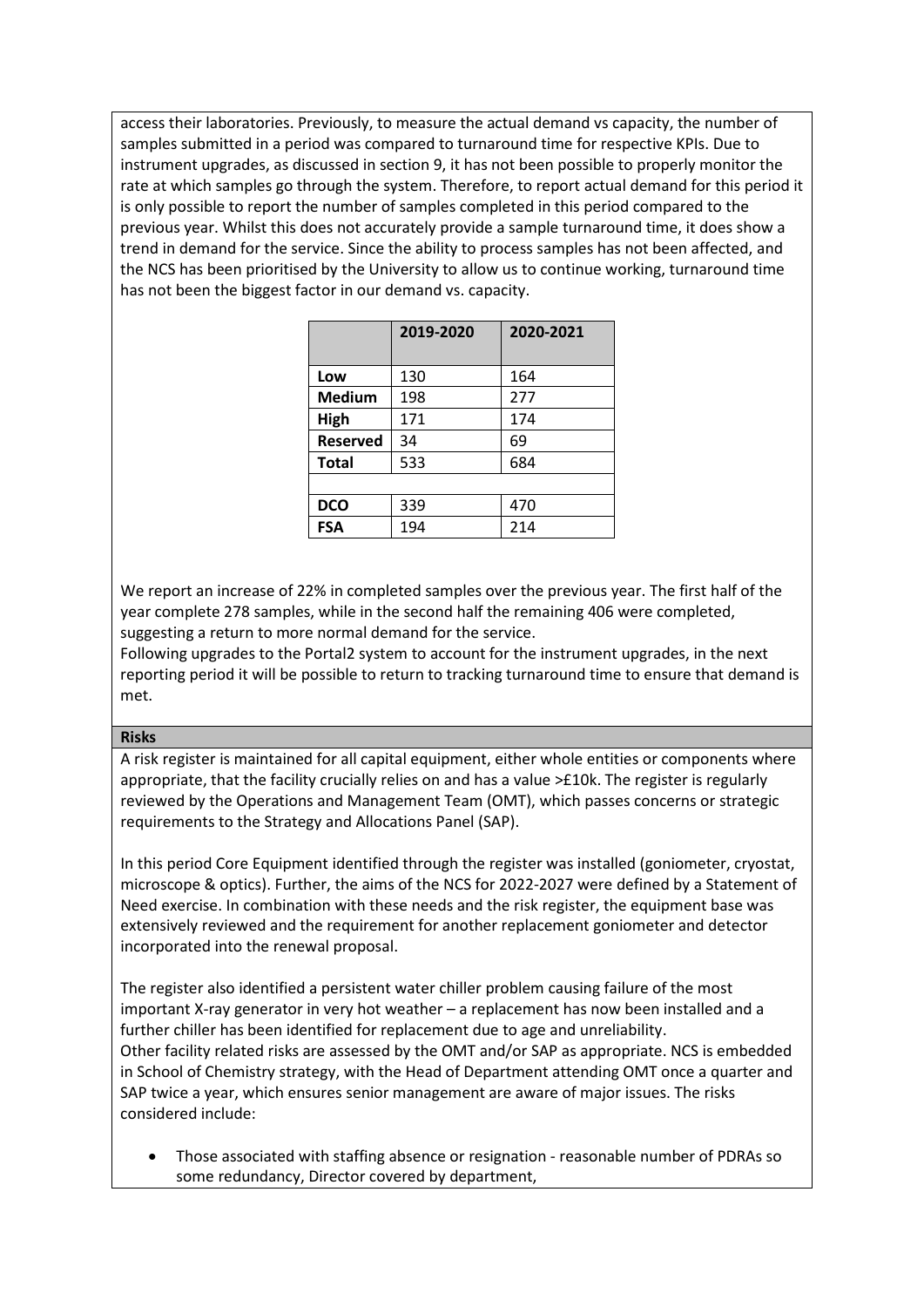access their laboratories. Previously, to measure the actual demand vs capacity, the number of samples submitted in a period was compared to turnaround time for respective KPIs. Due to instrument upgrades, as discussed in section 9, it has not been possible to properly monitor the rate at which samples go through the system. Therefore, to report actual demand for this period it is only possible to report the number of samples completed in this period compared to the previous year. Whilst this does not accurately provide a sample turnaround time, it does show a trend in demand for the service. Since the ability to process samples has not been affected, and the NCS has been prioritised by the University to allow us to continue working, turnaround time has not been the biggest factor in our demand vs. capacity.

|                 | 2019-2020 | 2020-2021 |
|-----------------|-----------|-----------|
| Low             | 130       | 164       |
| <b>Medium</b>   | 198       | 277       |
| High            | 171       | 174       |
| <b>Reserved</b> | 34        | 69        |
| <b>Total</b>    | 533       | 684       |
|                 |           |           |
| <b>DCO</b>      | 339       | 470       |
| <b>FSA</b>      | 194       | 214       |

We report an increase of 22% in completed samples over the previous year. The first half of the year complete 278 samples, while in the second half the remaining 406 were completed, suggesting a return to more normal demand for the service.

Following upgrades to the Portal2 system to account for the instrument upgrades, in the next reporting period it will be possible to return to tracking turnaround time to ensure that demand is met.

### **Risks**

A risk register is maintained for all capital equipment, either whole entities or components where appropriate, that the facility crucially relies on and has a value >£10k. The register is regularly reviewed by the Operations and Management Team (OMT), which passes concerns or strategic requirements to the Strategy and Allocations Panel (SAP).

In this period Core Equipment identified through the register was installed (goniometer, cryostat, microscope & optics). Further, the aims of the NCS for 2022-2027 were defined by a Statement of Need exercise. In combination with these needs and the risk register, the equipment base was extensively reviewed and the requirement for another replacement goniometer and detector incorporated into the renewal proposal.

The register also identified a persistent water chiller problem causing failure of the most important X-ray generator in very hot weather – a replacement has now been installed and a further chiller has been identified for replacement due to age and unreliability. Other facility related risks are assessed by the OMT and/or SAP as appropriate. NCS is embedded in School of Chemistry strategy, with the Head of Department attending OMT once a quarter and SAP twice a year, which ensures senior management are aware of major issues. The risks considered include:

• Those associated with staffing absence or resignation - reasonable number of PDRAs so some redundancy, Director covered by department,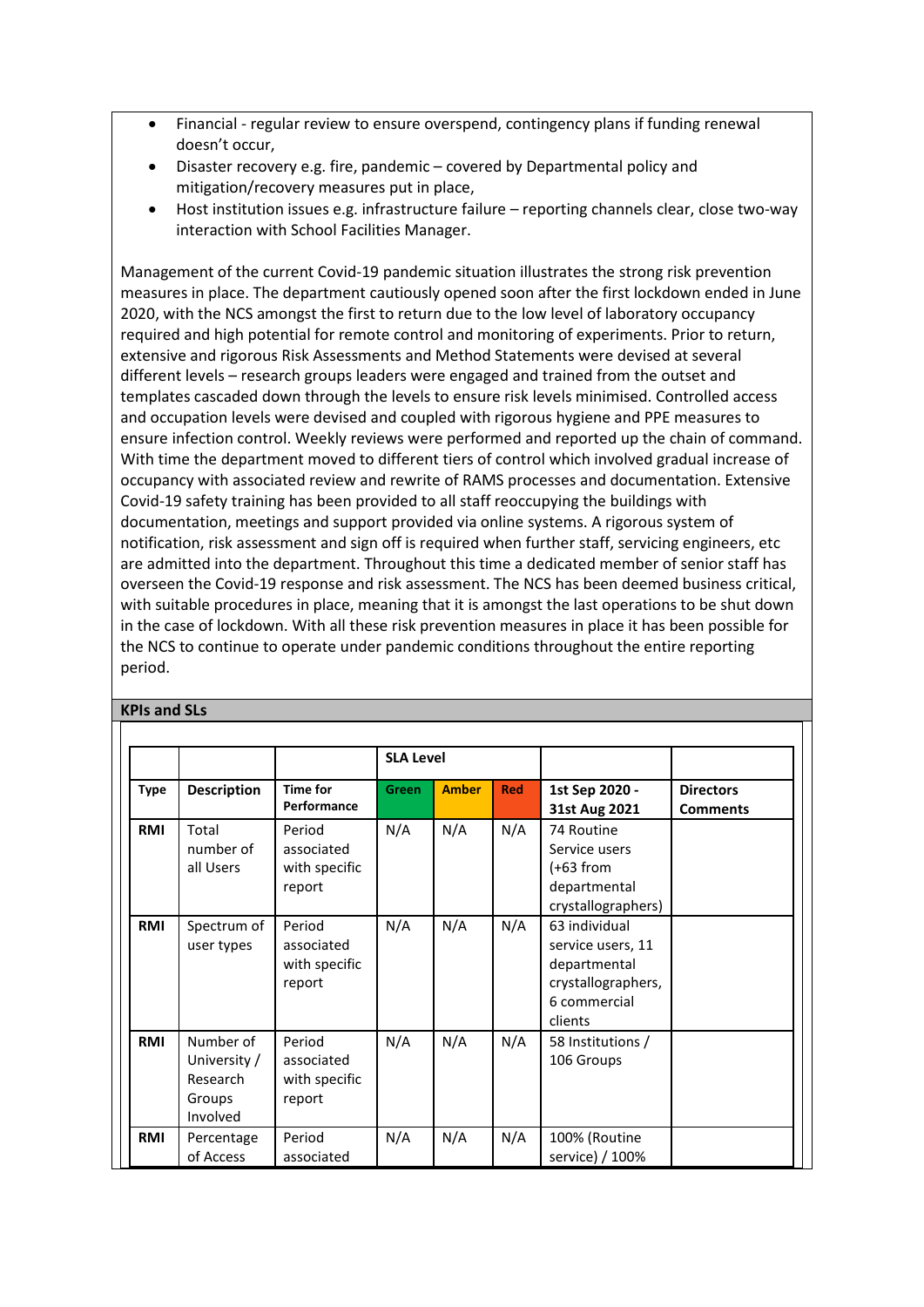- Financial regular review to ensure overspend, contingency plans if funding renewal doesn't occur,
- Disaster recovery e.g. fire, pandemic covered by Departmental policy and mitigation/recovery measures put in place,
- Host institution issues e.g. infrastructure failure reporting channels clear, close two-way interaction with School Facilities Manager.

Management of the current Covid-19 pandemic situation illustrates the strong risk prevention measures in place. The department cautiously opened soon after the first lockdown ended in June 2020, with the NCS amongst the first to return due to the low level of laboratory occupancy required and high potential for remote control and monitoring of experiments. Prior to return, extensive and rigorous Risk Assessments and Method Statements were devised at several different levels – research groups leaders were engaged and trained from the outset and templates cascaded down through the levels to ensure risk levels minimised. Controlled access and occupation levels were devised and coupled with rigorous hygiene and PPE measures to ensure infection control. Weekly reviews were performed and reported up the chain of command. With time the department moved to different tiers of control which involved gradual increase of occupancy with associated review and rewrite of RAMS processes and documentation. Extensive Covid-19 safety training has been provided to all staff reoccupying the buildings with documentation, meetings and support provided via online systems. A rigorous system of notification, risk assessment and sign off is required when further staff, servicing engineers, etc are admitted into the department. Throughout this time a dedicated member of senior staff has overseen the Covid-19 response and risk assessment. The NCS has been deemed business critical, with suitable procedures in place, meaning that it is amongst the last operations to be shut down in the case of lockdown. With all these risk prevention measures in place it has been possible for the NCS to continue to operate under pandemic conditions throughout the entire reporting period.

### **KPIs and SLs**

|             |                                                             |                                                 | <b>SLA Level</b> |              |            |                                                                                                     |                                     |
|-------------|-------------------------------------------------------------|-------------------------------------------------|------------------|--------------|------------|-----------------------------------------------------------------------------------------------------|-------------------------------------|
| <b>Type</b> | <b>Description</b>                                          | <b>Time for</b><br>Performance                  | Green            | <b>Amber</b> | <b>Red</b> | 1st Sep 2020 -<br>31st Aug 2021                                                                     | <b>Directors</b><br><b>Comments</b> |
| <b>RMI</b>  | Total<br>number of<br>all Users                             | Period<br>associated<br>with specific<br>report | N/A              | N/A          | N/A        | 74 Routine<br>Service users<br>(+63 from<br>departmental<br>crystallographers)                      |                                     |
| RMI         | Spectrum of<br>user types                                   | Period<br>associated<br>with specific<br>report | N/A              | N/A          | N/A        | 63 individual<br>service users, 11<br>departmental<br>crystallographers,<br>6 commercial<br>clients |                                     |
| <b>RMI</b>  | Number of<br>University /<br>Research<br>Groups<br>Involved | Period<br>associated<br>with specific<br>report | N/A              | N/A          | N/A        | 58 Institutions /<br>106 Groups                                                                     |                                     |
| <b>RMI</b>  | Percentage<br>of Access                                     | Period<br>associated                            | N/A              | N/A          | N/A        | 100% (Routine<br>service) / 100%                                                                    |                                     |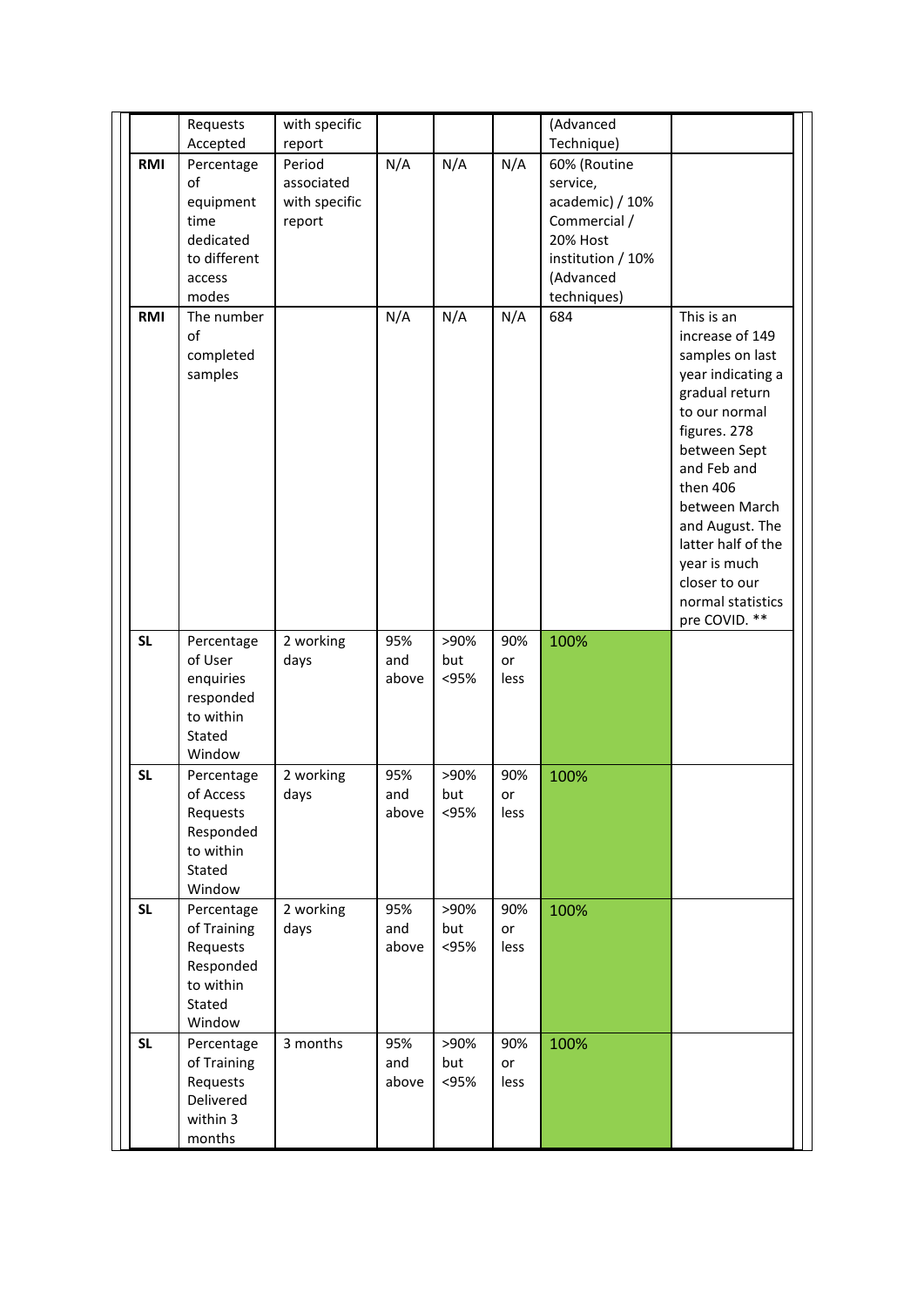|                        | Requests                                                                              | with specific                                   |                            |                             |                          | (Advanced                                                                                                                |                                                                                                                                                                                                                                                                                                      |
|------------------------|---------------------------------------------------------------------------------------|-------------------------------------------------|----------------------------|-----------------------------|--------------------------|--------------------------------------------------------------------------------------------------------------------------|------------------------------------------------------------------------------------------------------------------------------------------------------------------------------------------------------------------------------------------------------------------------------------------------------|
|                        | Accepted                                                                              | report                                          |                            |                             |                          | Technique)                                                                                                               |                                                                                                                                                                                                                                                                                                      |
| RMI                    | Percentage<br>of<br>equipment<br>time<br>dedicated<br>to different<br>access<br>modes | Period<br>associated<br>with specific<br>report | N/A                        | N/A                         | N/A                      | 60% (Routine<br>service,<br>academic) / 10%<br>Commercial /<br>20% Host<br>institution / 10%<br>(Advanced<br>techniques) |                                                                                                                                                                                                                                                                                                      |
| RMI                    | The number<br>of<br>completed<br>samples                                              |                                                 | N/A                        | N/A                         | N/A                      | 684                                                                                                                      | This is an<br>increase of 149<br>samples on last<br>year indicating a<br>gradual return<br>to our normal<br>figures. 278<br>between Sept<br>and Feb and<br>then 406<br>between March<br>and August. The<br>latter half of the<br>year is much<br>closer to our<br>normal statistics<br>pre COVID. ** |
| <b>SL</b>              | Percentage<br>of User<br>enquiries<br>responded<br>to within<br>Stated                | 2 working<br>days                               | 95%<br>and<br>above        | >90%<br>but<br><95%         | 90%<br>or<br>less        | 100%                                                                                                                     |                                                                                                                                                                                                                                                                                                      |
| <b>SL</b>              | Window                                                                                |                                                 |                            |                             |                          |                                                                                                                          |                                                                                                                                                                                                                                                                                                      |
|                        | Percentage<br>of Access<br>Requests<br>Responded<br>to within<br>Stated<br>Window     | 2 working<br>days                               | 95%<br>and<br>above        | >90%<br>but<br><95%         | 90%<br>or<br>less        | 100%                                                                                                                     |                                                                                                                                                                                                                                                                                                      |
| <b>SL</b><br><b>SL</b> | Percentage<br>of Training<br>Requests<br>Responded<br>to within<br>Stated<br>Window   | 2 working<br>days<br>3 months                   | 95%<br>and<br>above<br>95% | >90%<br>but<br><95%<br>>90% | 90%<br>or<br>less<br>90% | 100%<br>100%                                                                                                             |                                                                                                                                                                                                                                                                                                      |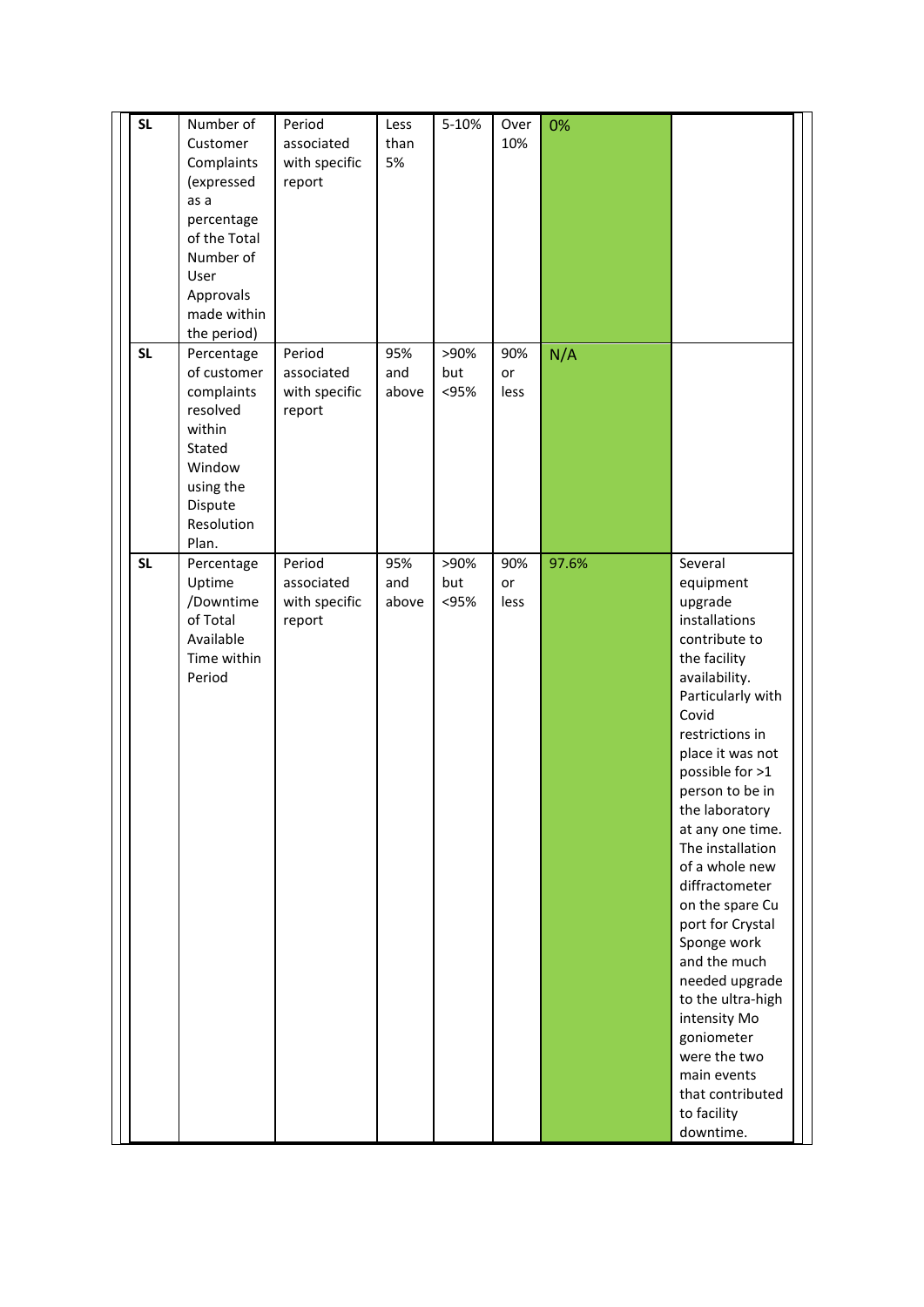| <b>SL</b><br><b>SL</b> | Number of<br>Customer<br>Complaints<br>(expressed<br>as a<br>percentage<br>of the Total<br>Number of<br>User<br>Approvals<br>made within<br>the period) | Period<br>associated<br>with specific<br>report<br>Period | Less<br>than<br>5%<br>95% | 5-10%<br>>90%       | Over<br>10%       | 0%    |                                                                                                                                                                                                                                                                                                                                                                                                                                                                                                                                       |
|------------------------|---------------------------------------------------------------------------------------------------------------------------------------------------------|-----------------------------------------------------------|---------------------------|---------------------|-------------------|-------|---------------------------------------------------------------------------------------------------------------------------------------------------------------------------------------------------------------------------------------------------------------------------------------------------------------------------------------------------------------------------------------------------------------------------------------------------------------------------------------------------------------------------------------|
|                        | Percentage<br>of customer<br>complaints<br>resolved<br>within<br>Stated<br>Window<br>using the<br>Dispute<br>Resolution<br>Plan.                        | associated<br>with specific<br>report                     | and<br>above              | but<br>< 95%        | 90%<br>or<br>less | N/A   |                                                                                                                                                                                                                                                                                                                                                                                                                                                                                                                                       |
| <b>SL</b>              | Percentage<br>Uptime<br>/Downtime<br>of Total<br>Available<br>Time within<br>Period                                                                     | Period<br>associated<br>with specific<br>report           | 95%<br>and<br>above       | >90%<br>but<br><95% | 90%<br>or<br>less | 97.6% | Several<br>equipment<br>upgrade<br>installations<br>contribute to<br>the facility<br>availability.<br>Particularly with<br>Covid<br>restrictions in<br>place it was not<br>possible for >1<br>person to be in<br>the laboratory<br>at any one time.<br>The installation<br>of a whole new<br>diffractometer<br>on the spare Cu<br>port for Crystal<br>Sponge work<br>and the much<br>needed upgrade<br>to the ultra-high<br>intensity Mo<br>goniometer<br>were the two<br>main events<br>that contributed<br>to facility<br>downtime. |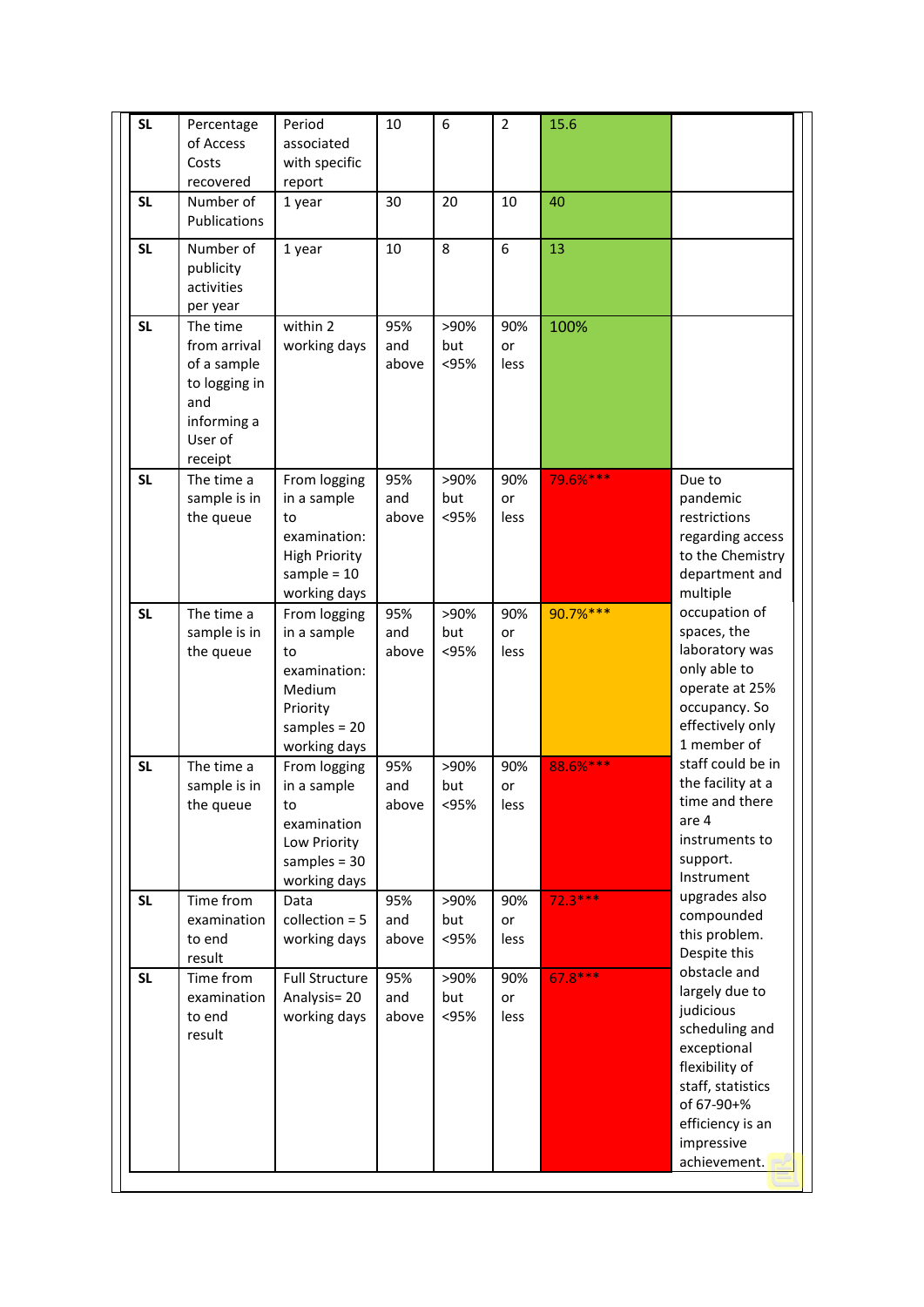| <b>SL</b> | Percentage<br>of Access<br>Costs<br>recovered                                                        | Period<br>associated<br>with specific<br>report                                                            | 10                  | 6                   | $\overline{2}$    | 15.6      |                                                                                                                                                                                     |
|-----------|------------------------------------------------------------------------------------------------------|------------------------------------------------------------------------------------------------------------|---------------------|---------------------|-------------------|-----------|-------------------------------------------------------------------------------------------------------------------------------------------------------------------------------------|
| <b>SL</b> | Number of<br>Publications                                                                            | 1 year                                                                                                     | 30                  | 20                  | 10                | 40        |                                                                                                                                                                                     |
| <b>SL</b> | Number of<br>publicity<br>activities<br>per year                                                     | 1 year                                                                                                     | 10                  | 8                   | 6                 | 13        |                                                                                                                                                                                     |
| <b>SL</b> | The time<br>from arrival<br>of a sample<br>to logging in<br>and<br>informing a<br>User of<br>receipt | within 2<br>working days                                                                                   | 95%<br>and<br>above | >90%<br>but<br><95% | 90%<br>or<br>less | 100%      |                                                                                                                                                                                     |
| <b>SL</b> | The time a<br>sample is in<br>the queue                                                              | From logging<br>in a sample<br>to<br>examination:<br><b>High Priority</b><br>sample = $10$<br>working days | 95%<br>and<br>above | >90%<br>but<br><95% | 90%<br>or<br>less | 79.6%***  | Due to<br>pandemic<br>restrictions<br>regarding access<br>to the Chemistry<br>department and<br>multiple                                                                            |
| <b>SL</b> | The time a<br>sample is in<br>the queue                                                              | From logging<br>in a sample<br>to<br>examination:<br>Medium<br>Priority<br>samples = $20$<br>working days  | 95%<br>and<br>above | >90%<br>but<br><95% | 90%<br>or<br>less | 90.7%***  | occupation of<br>spaces, the<br>laboratory was<br>only able to<br>operate at 25%<br>occupancy. So<br>effectively only<br>1 member of                                                |
| <b>SL</b> | The time a<br>sample is in<br>the queue                                                              | From logging<br>in a sample<br>to<br>examination<br>Low Priority<br>samples = $30$<br>working days         | 95%<br>and<br>above | >90%<br>but<br><95% | 90%<br>or<br>less | 88.6%***  | staff could be in<br>the facility at a<br>time and there<br>are 4<br>instruments to<br>support.<br>Instrument                                                                       |
| <b>SL</b> | Time from<br>examination<br>to end<br>result                                                         | Data<br>collection $= 5$<br>working days                                                                   | 95%<br>and<br>above | >90%<br>but<br><95% | 90%<br>or<br>less | $72.3***$ | upgrades also<br>compounded<br>this problem.<br>Despite this                                                                                                                        |
| <b>SL</b> | Time from<br>examination<br>to end<br>result                                                         | <b>Full Structure</b><br>Analysis=20<br>working days                                                       | 95%<br>and<br>above | >90%<br>but<br><95% | 90%<br>or<br>less | $67.8***$ | obstacle and<br>largely due to<br>judicious<br>scheduling and<br>exceptional<br>flexibility of<br>staff, statistics<br>of 67-90+%<br>efficiency is an<br>impressive<br>achievement. |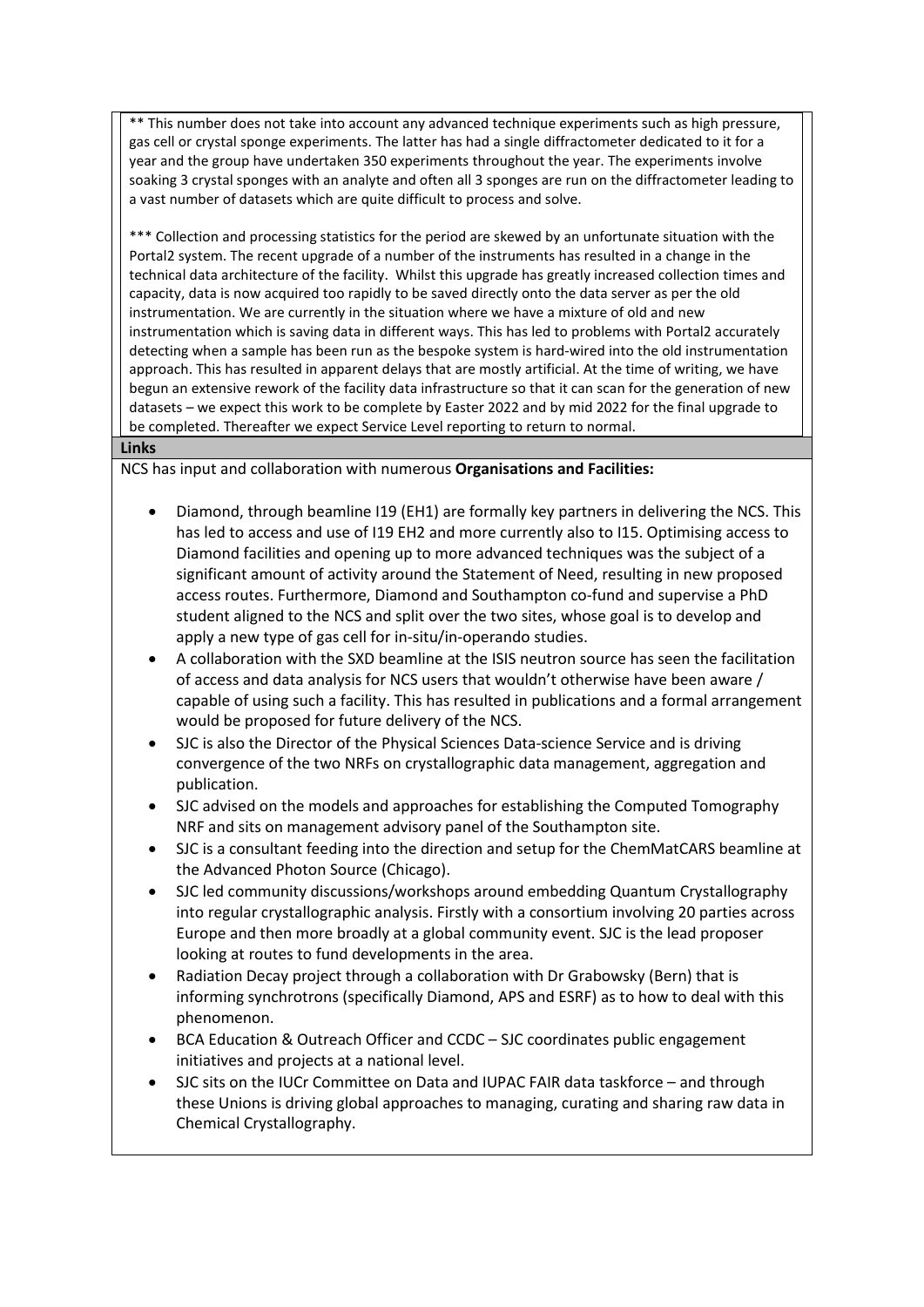\*\* This number does not take into account any advanced technique experiments such as high pressure, gas cell or crystal sponge experiments. The latter has had a single diffractometer dedicated to it for a year and the group have undertaken 350 experiments throughout the year. The experiments involve soaking 3 crystal sponges with an analyte and often all 3 sponges are run on the diffractometer leading to a vast number of datasets which are quite difficult to process and solve.

\*\*\* Collection and processing statistics for the period are skewed by an unfortunate situation with the Portal2 system. The recent upgrade of a number of the instruments has resulted in a change in the technical data architecture of the facility. Whilst this upgrade has greatly increased collection times and capacity, data is now acquired too rapidly to be saved directly onto the data server as per the old instrumentation. We are currently in the situation where we have a mixture of old and new instrumentation which is saving data in different ways. This has led to problems with Portal2 accurately detecting when a sample has been run as the bespoke system is hard-wired into the old instrumentation approach. This has resulted in apparent delays that are mostly artificial. At the time of writing, we have begun an extensive rework of the facility data infrastructure so that it can scan for the generation of new datasets – we expect this work to be complete by Easter 2022 and by mid 2022 for the final upgrade to be completed. Thereafter we expect Service Level reporting to return to normal.

#### **Links**

NCS has input and collaboration with numerous **Organisations and Facilities:**

- Diamond, through beamline I19 (EH1) are formally key partners in delivering the NCS. This has led to access and use of I19 EH2 and more currently also to I15. Optimising access to Diamond facilities and opening up to more advanced techniques was the subject of a significant amount of activity around the Statement of Need, resulting in new proposed access routes. Furthermore, Diamond and Southampton co-fund and supervise a PhD student aligned to the NCS and split over the two sites, whose goal is to develop and apply a new type of gas cell for in-situ/in-operando studies.
- A collaboration with the SXD beamline at the ISIS neutron source has seen the facilitation of access and data analysis for NCS users that wouldn't otherwise have been aware / capable of using such a facility. This has resulted in publications and a formal arrangement would be proposed for future delivery of the NCS.
- SJC is also the Director of the Physical Sciences Data-science Service and is driving convergence of the two NRFs on crystallographic data management, aggregation and publication.
- SJC advised on the models and approaches for establishing the Computed Tomography NRF and sits on management advisory panel of the Southampton site.
- SJC is a consultant feeding into the direction and setup for the ChemMatCARS beamline at the Advanced Photon Source (Chicago).
- SJC led community discussions/workshops around embedding Quantum Crystallography into regular crystallographic analysis. Firstly with a consortium involving 20 parties across Europe and then more broadly at a global community event. SJC is the lead proposer looking at routes to fund developments in the area.
- Radiation Decay project through a collaboration with Dr Grabowsky (Bern) that is informing synchrotrons (specifically Diamond, APS and ESRF) as to how to deal with this phenomenon.
- BCA Education & Outreach Officer and CCDC SJC coordinates public engagement initiatives and projects at a national level.
- SJC sits on the IUCr Committee on Data and IUPAC FAIR data taskforce and through these Unions is driving global approaches to managing, curating and sharing raw data in Chemical Crystallography.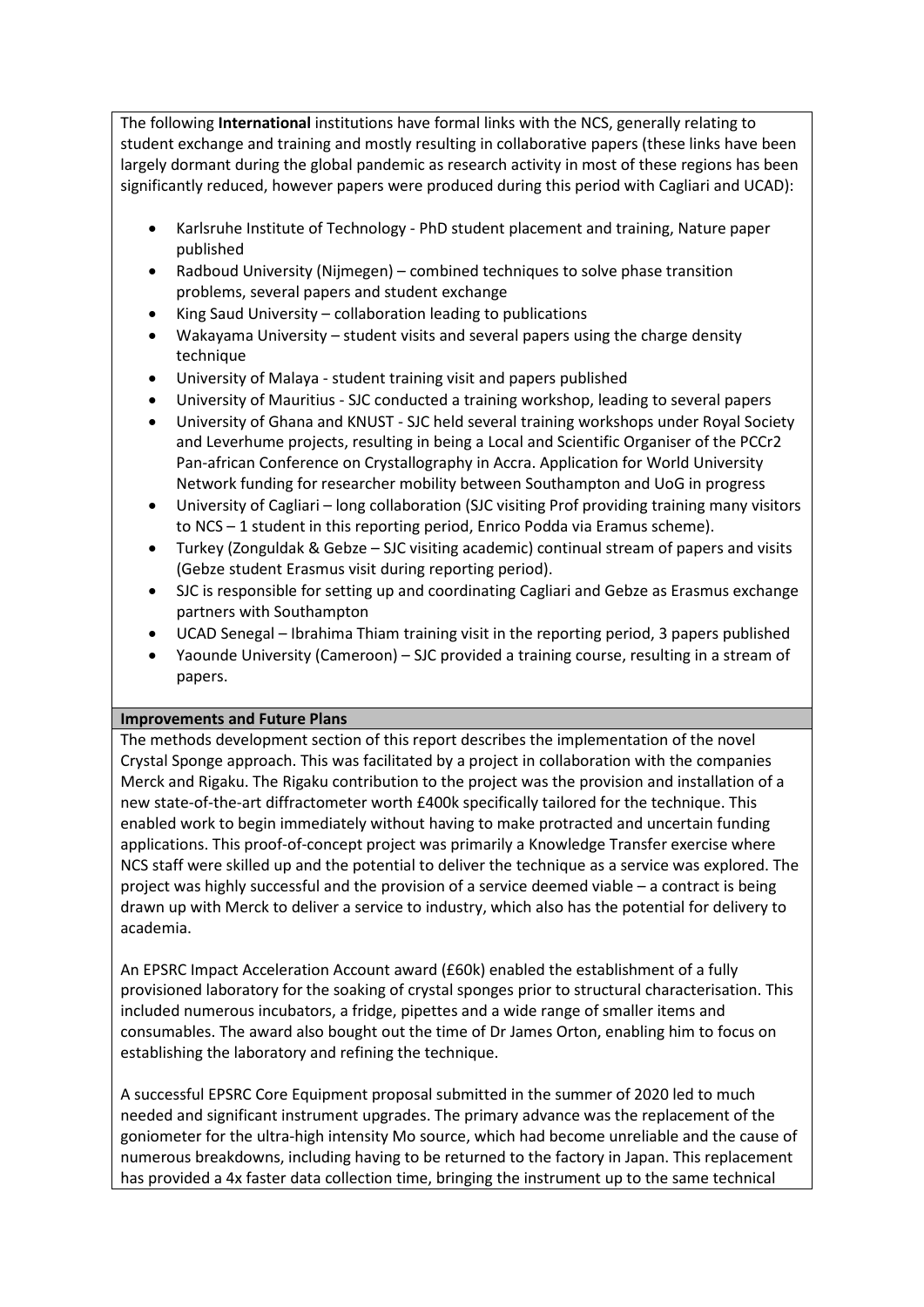The following **International** institutions have formal links with the NCS, generally relating to student exchange and training and mostly resulting in collaborative papers (these links have been largely dormant during the global pandemic as research activity in most of these regions has been significantly reduced, however papers were produced during this period with Cagliari and UCAD):

- Karlsruhe Institute of Technology PhD student placement and training, Nature paper published
- Radboud University (Nijmegen) combined techniques to solve phase transition problems, several papers and student exchange
- King Saud University collaboration leading to publications
- Wakayama University student visits and several papers using the charge density technique
- University of Malaya student training visit and papers published
- University of Mauritius SJC conducted a training workshop, leading to several papers
- University of Ghana and KNUST SJC held several training workshops under Royal Society and Leverhume projects, resulting in being a Local and Scientific Organiser of the PCCr2 Pan-african Conference on Crystallography in Accra. Application for World University Network funding for researcher mobility between Southampton and UoG in progress
- University of Cagliari long collaboration (SJC visiting Prof providing training many visitors to NCS – 1 student in this reporting period, Enrico Podda via Eramus scheme).
- Turkey (Zonguldak & Gebze SJC visiting academic) continual stream of papers and visits (Gebze student Erasmus visit during reporting period).
- SJC is responsible for setting up and coordinating Cagliari and Gebze as Erasmus exchange partners with Southampton
- UCAD Senegal Ibrahima Thiam training visit in the reporting period, 3 papers published
- Yaounde University (Cameroon) SJC provided a training course, resulting in a stream of papers.

### **Improvements and Future Plans**

The methods development section of this report describes the implementation of the novel Crystal Sponge approach. This was facilitated by a project in collaboration with the companies Merck and Rigaku. The Rigaku contribution to the project was the provision and installation of a new state-of-the-art diffractometer worth £400k specifically tailored for the technique. This enabled work to begin immediately without having to make protracted and uncertain funding applications. This proof-of-concept project was primarily a Knowledge Transfer exercise where NCS staff were skilled up and the potential to deliver the technique as a service was explored. The project was highly successful and the provision of a service deemed viable – a contract is being drawn up with Merck to deliver a service to industry, which also has the potential for delivery to academia.

An EPSRC Impact Acceleration Account award (£60k) enabled the establishment of a fully provisioned laboratory for the soaking of crystal sponges prior to structural characterisation. This included numerous incubators, a fridge, pipettes and a wide range of smaller items and consumables. The award also bought out the time of Dr James Orton, enabling him to focus on establishing the laboratory and refining the technique.

A successful EPSRC Core Equipment proposal submitted in the summer of 2020 led to much needed and significant instrument upgrades. The primary advance was the replacement of the goniometer for the ultra-high intensity Mo source, which had become unreliable and the cause of numerous breakdowns, including having to be returned to the factory in Japan. This replacement has provided a 4x faster data collection time, bringing the instrument up to the same technical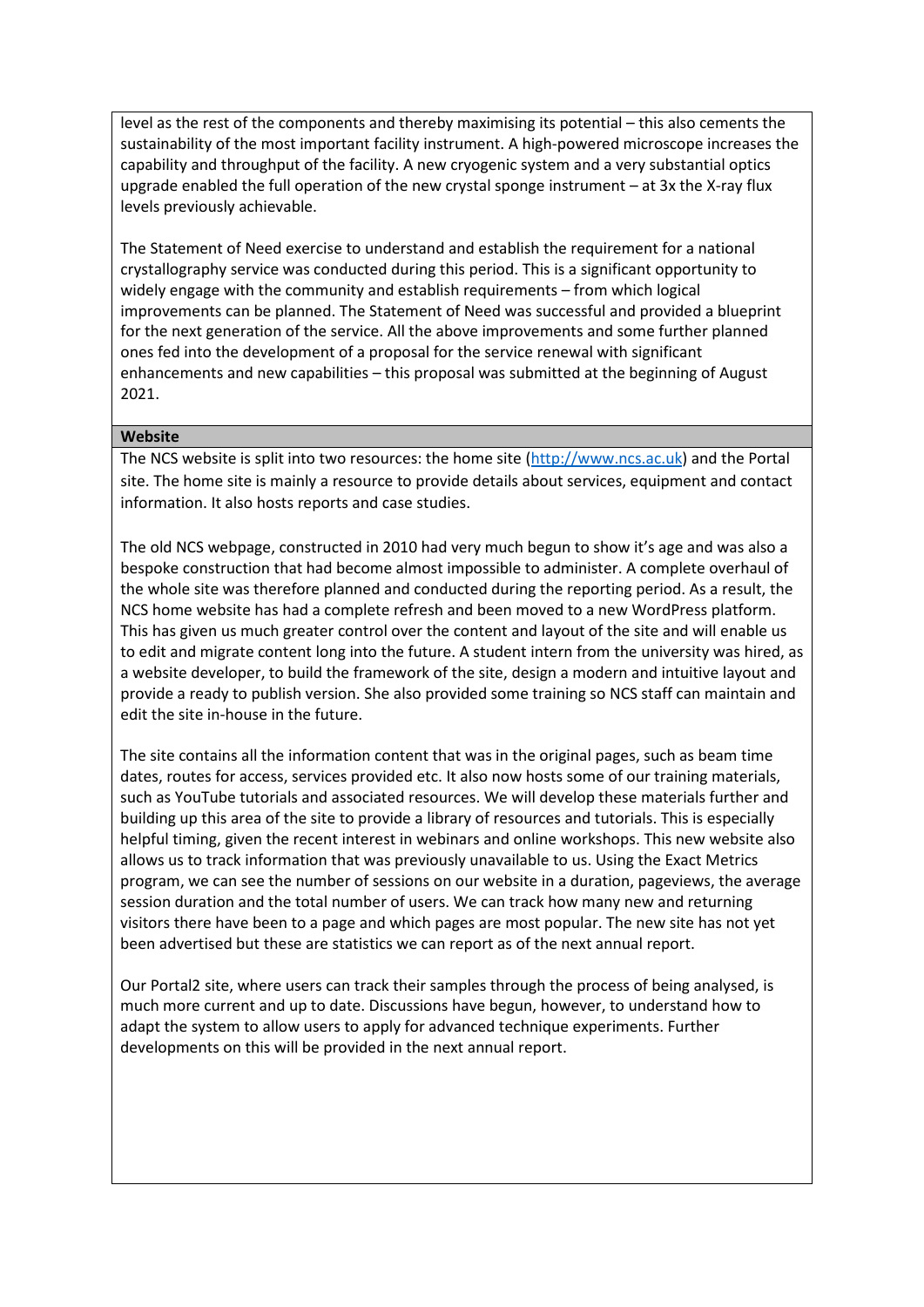level as the rest of the components and thereby maximising its potential – this also cements the sustainability of the most important facility instrument. A high-powered microscope increases the capability and throughput of the facility. A new cryogenic system and a very substantial optics upgrade enabled the full operation of the new crystal sponge instrument – at 3x the X-ray flux levels previously achievable.

The Statement of Need exercise to understand and establish the requirement for a national crystallography service was conducted during this period. This is a significant opportunity to widely engage with the community and establish requirements – from which logical improvements can be planned. The Statement of Need was successful and provided a blueprint for the next generation of the service. All the above improvements and some further planned ones fed into the development of a proposal for the service renewal with significant enhancements and new capabilities – this proposal was submitted at the beginning of August 2021.

### **Website**

The NCS website is split into two resources: the home site [\(http://www.ncs.ac.uk\)](http://www.ncs.ac.uk/) and the Portal site. The home site is mainly a resource to provide details about services, equipment and contact information. It also hosts reports and case studies.

The old NCS webpage, constructed in 2010 had very much begun to show it's age and was also a bespoke construction that had become almost impossible to administer. A complete overhaul of the whole site was therefore planned and conducted during the reporting period. As a result, the NCS home website has had a complete refresh and been moved to a new WordPress platform. This has given us much greater control over the content and layout of the site and will enable us to edit and migrate content long into the future. A student intern from the university was hired, as a website developer, to build the framework of the site, design a modern and intuitive layout and provide a ready to publish version. She also provided some training so NCS staff can maintain and edit the site in-house in the future.

The site contains all the information content that was in the original pages, such as beam time dates, routes for access, services provided etc. It also now hosts some of our training materials, such as YouTube tutorials and associated resources. We will develop these materials further and building up this area of the site to provide a library of resources and tutorials. This is especially helpful timing, given the recent interest in webinars and online workshops. This new website also allows us to track information that was previously unavailable to us. Using the Exact Metrics program, we can see the number of sessions on our website in a duration, pageviews, the average session duration and the total number of users. We can track how many new and returning visitors there have been to a page and which pages are most popular. The new site has not yet been advertised but these are statistics we can report as of the next annual report.

Our Portal2 site, where users can track their samples through the process of being analysed, is much more current and up to date. Discussions have begun, however, to understand how to adapt the system to allow users to apply for advanced technique experiments. Further developments on this will be provided in the next annual report.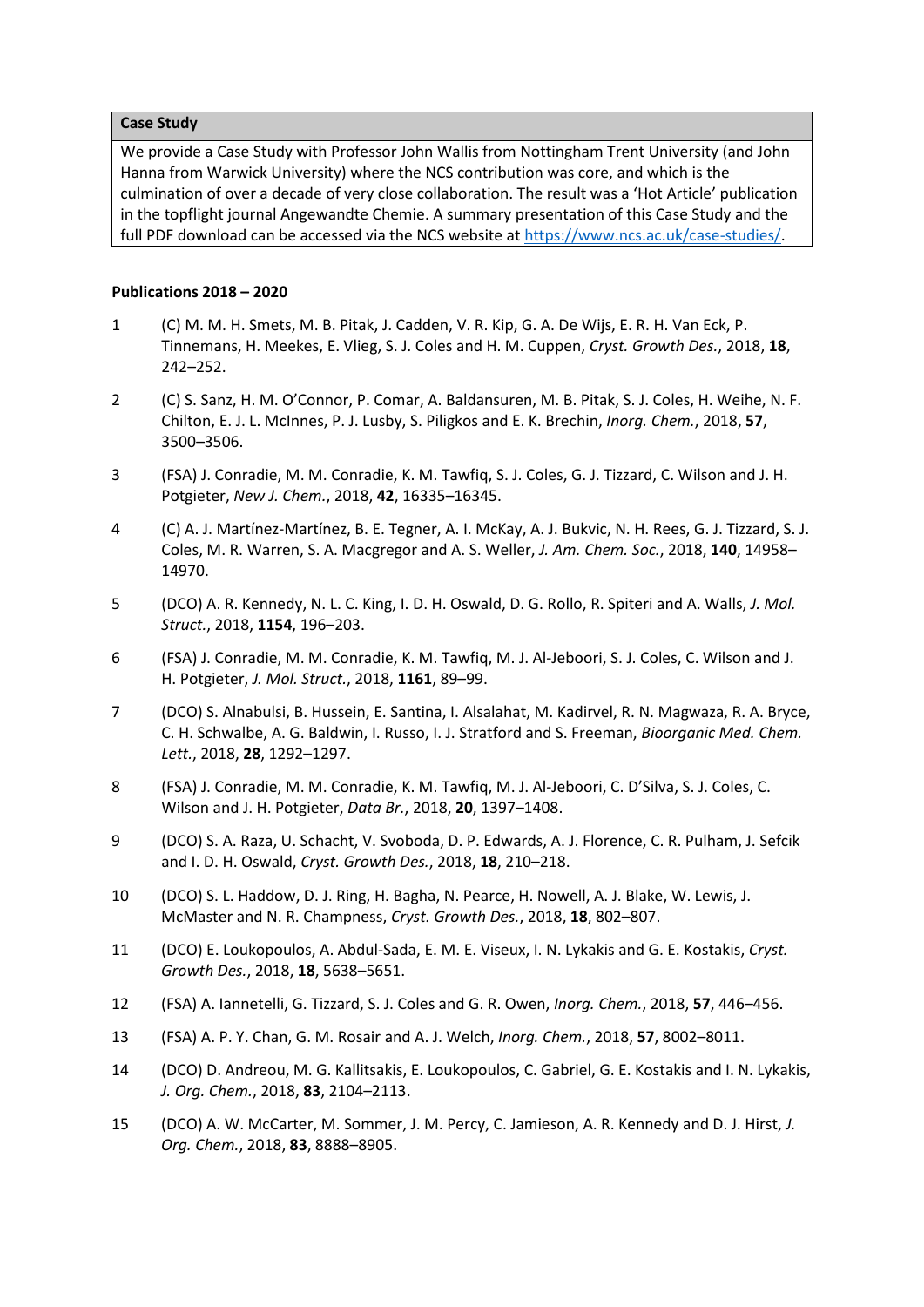#### **Case Study**

We provide a Case Study with Professor John Wallis from Nottingham Trent University (and John Hanna from Warwick University) where the NCS contribution was core, and which is the culmination of over a decade of very close collaboration. The result was a 'Hot Article' publication in the topflight journal Angewandte Chemie. A summary presentation of this Case Study and the full PDF download can be accessed via the NCS website at [https://www.ncs.ac.uk/case-studies/.](https://www.ncs.ac.uk/case-studies/)

#### **Publications 2018 – 2020**

- 1 (C) M. M. H. Smets, M. B. Pitak, J. Cadden, V. R. Kip, G. A. De Wijs, E. R. H. Van Eck, P. Tinnemans, H. Meekes, E. Vlieg, S. J. Coles and H. M. Cuppen, *Cryst. Growth Des.*, 2018, **18**, 242–252.
- 2 (C) S. Sanz, H. M. O'Connor, P. Comar, A. Baldansuren, M. B. Pitak, S. J. Coles, H. Weihe, N. F. Chilton, E. J. L. McInnes, P. J. Lusby, S. Piligkos and E. K. Brechin, *Inorg. Chem.*, 2018, **57**, 3500–3506.
- 3 (FSA) J. Conradie, M. M. Conradie, K. M. Tawfiq, S. J. Coles, G. J. Tizzard, C. Wilson and J. H. Potgieter, *New J. Chem.*, 2018, **42**, 16335–16345.
- 4 (C) A. J. Martínez-Martínez, B. E. Tegner, A. I. McKay, A. J. Bukvic, N. H. Rees, G. J. Tizzard, S. J. Coles, M. R. Warren, S. A. Macgregor and A. S. Weller, *J. Am. Chem. Soc.*, 2018, **140**, 14958– 14970.
- 5 (DCO) A. R. Kennedy, N. L. C. King, I. D. H. Oswald, D. G. Rollo, R. Spiteri and A. Walls, *J. Mol. Struct.*, 2018, **1154**, 196–203.
- 6 (FSA) J. Conradie, M. M. Conradie, K. M. Tawfiq, M. J. Al-Jeboori, S. J. Coles, C. Wilson and J. H. Potgieter, *J. Mol. Struct.*, 2018, **1161**, 89–99.
- 7 (DCO) S. Alnabulsi, B. Hussein, E. Santina, I. Alsalahat, M. Kadirvel, R. N. Magwaza, R. A. Bryce, C. H. Schwalbe, A. G. Baldwin, I. Russo, I. J. Stratford and S. Freeman, *Bioorganic Med. Chem. Lett.*, 2018, **28**, 1292–1297.
- 8 (FSA) J. Conradie, M. M. Conradie, K. M. Tawfiq, M. J. Al-Jeboori, C. D'Silva, S. J. Coles, C. Wilson and J. H. Potgieter, *Data Br.*, 2018, **20**, 1397–1408.
- 9 (DCO) S. A. Raza, U. Schacht, V. Svoboda, D. P. Edwards, A. J. Florence, C. R. Pulham, J. Sefcik and I. D. H. Oswald, *Cryst. Growth Des.*, 2018, **18**, 210–218.
- 10 (DCO) S. L. Haddow, D. J. Ring, H. Bagha, N. Pearce, H. Nowell, A. J. Blake, W. Lewis, J. McMaster and N. R. Champness, *Cryst. Growth Des.*, 2018, **18**, 802–807.
- 11 (DCO) E. Loukopoulos, A. Abdul-Sada, E. M. E. Viseux, I. N. Lykakis and G. E. Kostakis, *Cryst. Growth Des.*, 2018, **18**, 5638–5651.
- 12 (FSA) A. Iannetelli, G. Tizzard, S. J. Coles and G. R. Owen, *Inorg. Chem.*, 2018, **57**, 446–456.
- 13 (FSA) A. P. Y. Chan, G. M. Rosair and A. J. Welch, *Inorg. Chem.*, 2018, **57**, 8002–8011.
- 14 (DCO) D. Andreou, M. G. Kallitsakis, E. Loukopoulos, C. Gabriel, G. E. Kostakis and I. N. Lykakis, *J. Org. Chem.*, 2018, **83**, 2104–2113.
- 15 (DCO) A. W. McCarter, M. Sommer, J. M. Percy, C. Jamieson, A. R. Kennedy and D. J. Hirst, *J. Org. Chem.*, 2018, **83**, 8888–8905.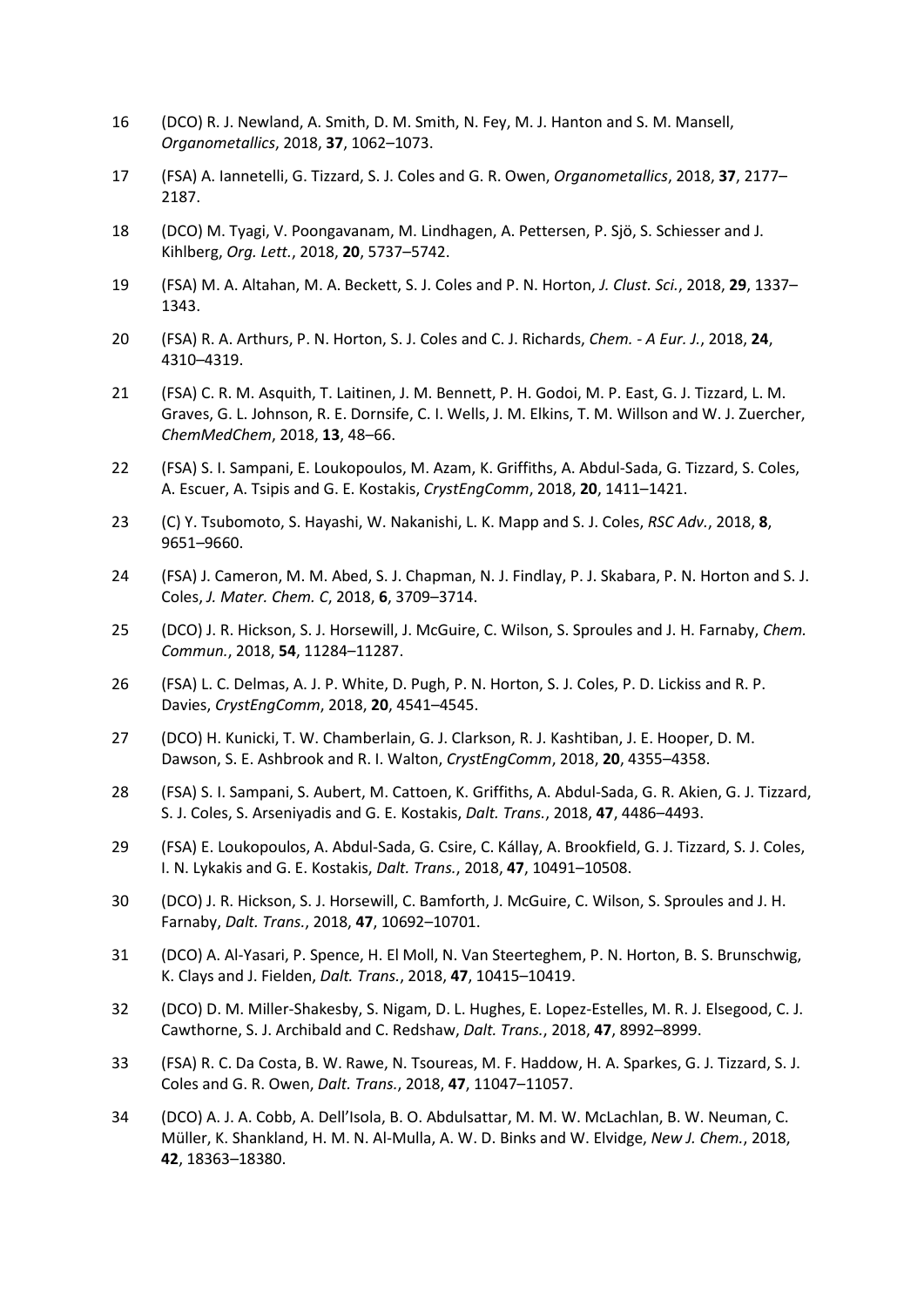- 16 (DCO) R. J. Newland, A. Smith, D. M. Smith, N. Fey, M. J. Hanton and S. M. Mansell, *Organometallics*, 2018, **37**, 1062–1073.
- 17 (FSA) A. Iannetelli, G. Tizzard, S. J. Coles and G. R. Owen, *Organometallics*, 2018, **37**, 2177– 2187.
- 18 (DCO) M. Tyagi, V. Poongavanam, M. Lindhagen, A. Pettersen, P. Sjö, S. Schiesser and J. Kihlberg, *Org. Lett.*, 2018, **20**, 5737–5742.
- 19 (FSA) M. A. Altahan, M. A. Beckett, S. J. Coles and P. N. Horton, *J. Clust. Sci.*, 2018, **29**, 1337– 1343.
- 20 (FSA) R. A. Arthurs, P. N. Horton, S. J. Coles and C. J. Richards, *Chem. - A Eur. J.*, 2018, **24**, 4310–4319.
- 21 (FSA) C. R. M. Asquith, T. Laitinen, J. M. Bennett, P. H. Godoi, M. P. East, G. J. Tizzard, L. M. Graves, G. L. Johnson, R. E. Dornsife, C. I. Wells, J. M. Elkins, T. M. Willson and W. J. Zuercher, *ChemMedChem*, 2018, **13**, 48–66.
- 22 (FSA) S. I. Sampani, E. Loukopoulos, M. Azam, K. Griffiths, A. Abdul-Sada, G. Tizzard, S. Coles, A. Escuer, A. Tsipis and G. E. Kostakis, *CrystEngComm*, 2018, **20**, 1411–1421.
- 23 (C) Y. Tsubomoto, S. Hayashi, W. Nakanishi, L. K. Mapp and S. J. Coles, *RSC Adv.*, 2018, **8**, 9651–9660.
- 24 (FSA) J. Cameron, M. M. Abed, S. J. Chapman, N. J. Findlay, P. J. Skabara, P. N. Horton and S. J. Coles, *J. Mater. Chem. C*, 2018, **6**, 3709–3714.
- 25 (DCO) J. R. Hickson, S. J. Horsewill, J. McGuire, C. Wilson, S. Sproules and J. H. Farnaby, *Chem. Commun.*, 2018, **54**, 11284–11287.
- 26 (FSA) L. C. Delmas, A. J. P. White, D. Pugh, P. N. Horton, S. J. Coles, P. D. Lickiss and R. P. Davies, *CrystEngComm*, 2018, **20**, 4541–4545.
- 27 (DCO) H. Kunicki, T. W. Chamberlain, G. J. Clarkson, R. J. Kashtiban, J. E. Hooper, D. M. Dawson, S. E. Ashbrook and R. I. Walton, *CrystEngComm*, 2018, **20**, 4355–4358.
- 28 (FSA) S. I. Sampani, S. Aubert, M. Cattoen, K. Griffiths, A. Abdul-Sada, G. R. Akien, G. J. Tizzard, S. J. Coles, S. Arseniyadis and G. E. Kostakis, *Dalt. Trans.*, 2018, **47**, 4486–4493.
- 29 (FSA) E. Loukopoulos, A. Abdul-Sada, G. Csire, C. Kállay, A. Brookfield, G. J. Tizzard, S. J. Coles, I. N. Lykakis and G. E. Kostakis, *Dalt. Trans.*, 2018, **47**, 10491–10508.
- 30 (DCO) J. R. Hickson, S. J. Horsewill, C. Bamforth, J. McGuire, C. Wilson, S. Sproules and J. H. Farnaby, *Dalt. Trans.*, 2018, **47**, 10692–10701.
- 31 (DCO) A. Al-Yasari, P. Spence, H. El Moll, N. Van Steerteghem, P. N. Horton, B. S. Brunschwig, K. Clays and J. Fielden, *Dalt. Trans.*, 2018, **47**, 10415–10419.
- 32 (DCO) D. M. Miller-Shakesby, S. Nigam, D. L. Hughes, E. Lopez-Estelles, M. R. J. Elsegood, C. J. Cawthorne, S. J. Archibald and C. Redshaw, *Dalt. Trans.*, 2018, **47**, 8992–8999.
- 33 (FSA) R. C. Da Costa, B. W. Rawe, N. Tsoureas, M. F. Haddow, H. A. Sparkes, G. J. Tizzard, S. J. Coles and G. R. Owen, *Dalt. Trans.*, 2018, **47**, 11047–11057.
- 34 (DCO) A. J. A. Cobb, A. Dell'Isola, B. O. Abdulsattar, M. M. W. McLachlan, B. W. Neuman, C. Müller, K. Shankland, H. M. N. Al-Mulla, A. W. D. Binks and W. Elvidge, *New J. Chem.*, 2018, **42**, 18363–18380.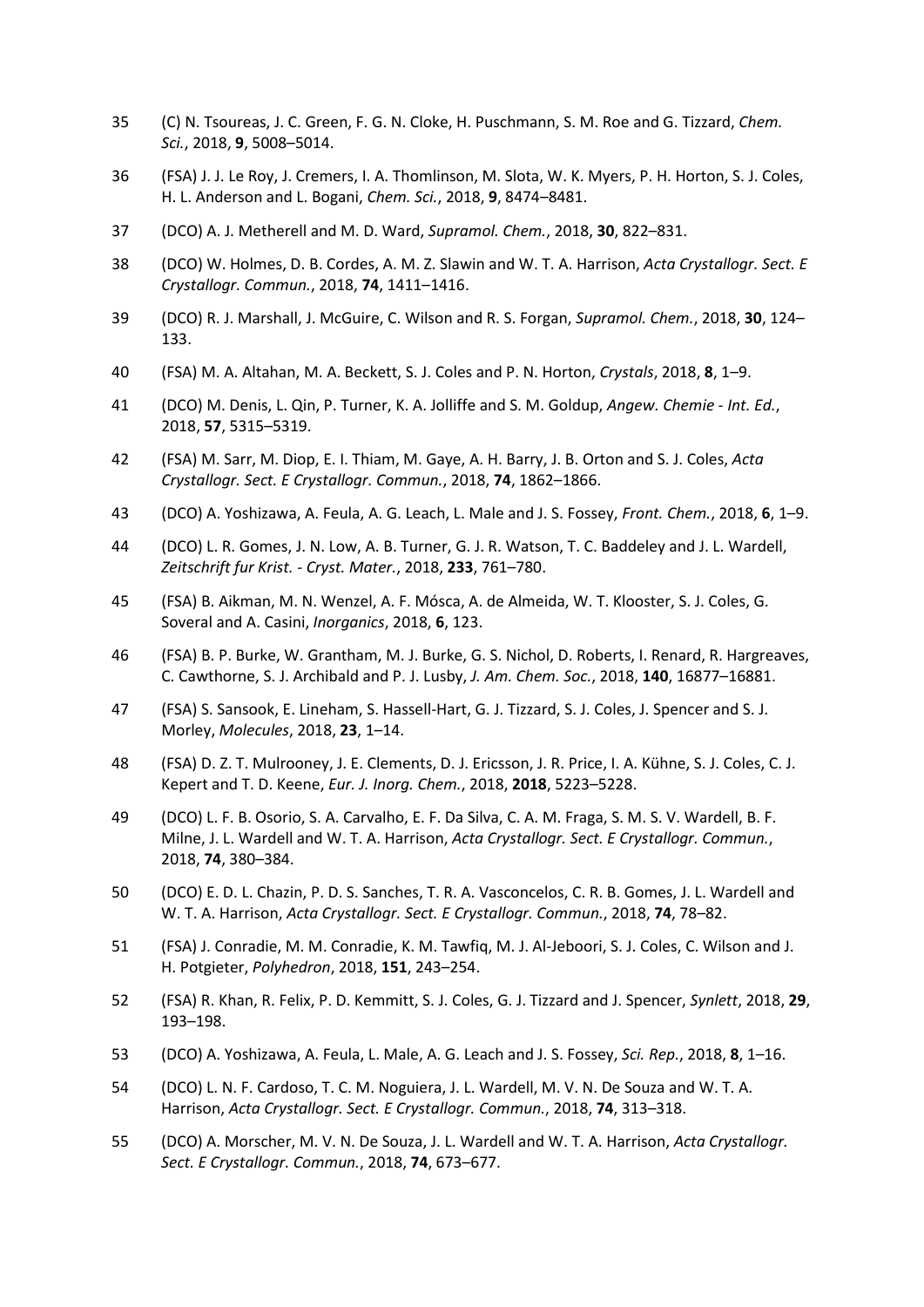- 35 (C) N. Tsoureas, J. C. Green, F. G. N. Cloke, H. Puschmann, S. M. Roe and G. Tizzard, *Chem. Sci.*, 2018, **9**, 5008–5014.
- 36 (FSA) J. J. Le Roy, J. Cremers, I. A. Thomlinson, M. Slota, W. K. Myers, P. H. Horton, S. J. Coles, H. L. Anderson and L. Bogani, *Chem. Sci.*, 2018, **9**, 8474–8481.
- 37 (DCO) A. J. Metherell and M. D. Ward, *Supramol. Chem.*, 2018, **30**, 822–831.
- 38 (DCO) W. Holmes, D. B. Cordes, A. M. Z. Slawin and W. T. A. Harrison, *Acta Crystallogr. Sect. E Crystallogr. Commun.*, 2018, **74**, 1411–1416.
- 39 (DCO) R. J. Marshall, J. McGuire, C. Wilson and R. S. Forgan, *Supramol. Chem.*, 2018, **30**, 124– 133.
- 40 (FSA) M. A. Altahan, M. A. Beckett, S. J. Coles and P. N. Horton, *Crystals*, 2018, **8**, 1–9.
- 41 (DCO) M. Denis, L. Qin, P. Turner, K. A. Jolliffe and S. M. Goldup, *Angew. Chemie - Int. Ed.*, 2018, **57**, 5315–5319.
- 42 (FSA) M. Sarr, M. Diop, E. I. Thiam, M. Gaye, A. H. Barry, J. B. Orton and S. J. Coles, *Acta Crystallogr. Sect. E Crystallogr. Commun.*, 2018, **74**, 1862–1866.
- 43 (DCO) A. Yoshizawa, A. Feula, A. G. Leach, L. Male and J. S. Fossey, *Front. Chem.*, 2018, **6**, 1–9.
- 44 (DCO) L. R. Gomes, J. N. Low, A. B. Turner, G. J. R. Watson, T. C. Baddeley and J. L. Wardell, *Zeitschrift fur Krist. - Cryst. Mater.*, 2018, **233**, 761–780.
- 45 (FSA) B. Aikman, M. N. Wenzel, A. F. Mósca, A. de Almeida, W. T. Klooster, S. J. Coles, G. Soveral and A. Casini, *Inorganics*, 2018, **6**, 123.
- 46 (FSA) B. P. Burke, W. Grantham, M. J. Burke, G. S. Nichol, D. Roberts, I. Renard, R. Hargreaves, C. Cawthorne, S. J. Archibald and P. J. Lusby, *J. Am. Chem. Soc.*, 2018, **140**, 16877–16881.
- 47 (FSA) S. Sansook, E. Lineham, S. Hassell-Hart, G. J. Tizzard, S. J. Coles, J. Spencer and S. J. Morley, *Molecules*, 2018, **23**, 1–14.
- 48 (FSA) D. Z. T. Mulrooney, J. E. Clements, D. J. Ericsson, J. R. Price, I. A. Kühne, S. J. Coles, C. J. Kepert and T. D. Keene, *Eur. J. Inorg. Chem.*, 2018, **2018**, 5223–5228.
- 49 (DCO) L. F. B. Osorio, S. A. Carvalho, E. F. Da Silva, C. A. M. Fraga, S. M. S. V. Wardell, B. F. Milne, J. L. Wardell and W. T. A. Harrison, *Acta Crystallogr. Sect. E Crystallogr. Commun.*, 2018, **74**, 380–384.
- 50 (DCO) E. D. L. Chazin, P. D. S. Sanches, T. R. A. Vasconcelos, C. R. B. Gomes, J. L. Wardell and W. T. A. Harrison, *Acta Crystallogr. Sect. E Crystallogr. Commun.*, 2018, **74**, 78–82.
- 51 (FSA) J. Conradie, M. M. Conradie, K. M. Tawfiq, M. J. Al-Jeboori, S. J. Coles, C. Wilson and J. H. Potgieter, *Polyhedron*, 2018, **151**, 243–254.
- 52 (FSA) R. Khan, R. Felix, P. D. Kemmitt, S. J. Coles, G. J. Tizzard and J. Spencer, *Synlett*, 2018, **29**, 193–198.
- 53 (DCO) A. Yoshizawa, A. Feula, L. Male, A. G. Leach and J. S. Fossey, *Sci. Rep.*, 2018, **8**, 1–16.
- 54 (DCO) L. N. F. Cardoso, T. C. M. Noguiera, J. L. Wardell, M. V. N. De Souza and W. T. A. Harrison, *Acta Crystallogr. Sect. E Crystallogr. Commun.*, 2018, **74**, 313–318.
- 55 (DCO) A. Morscher, M. V. N. De Souza, J. L. Wardell and W. T. A. Harrison, *Acta Crystallogr. Sect. E Crystallogr. Commun.*, 2018, **74**, 673–677.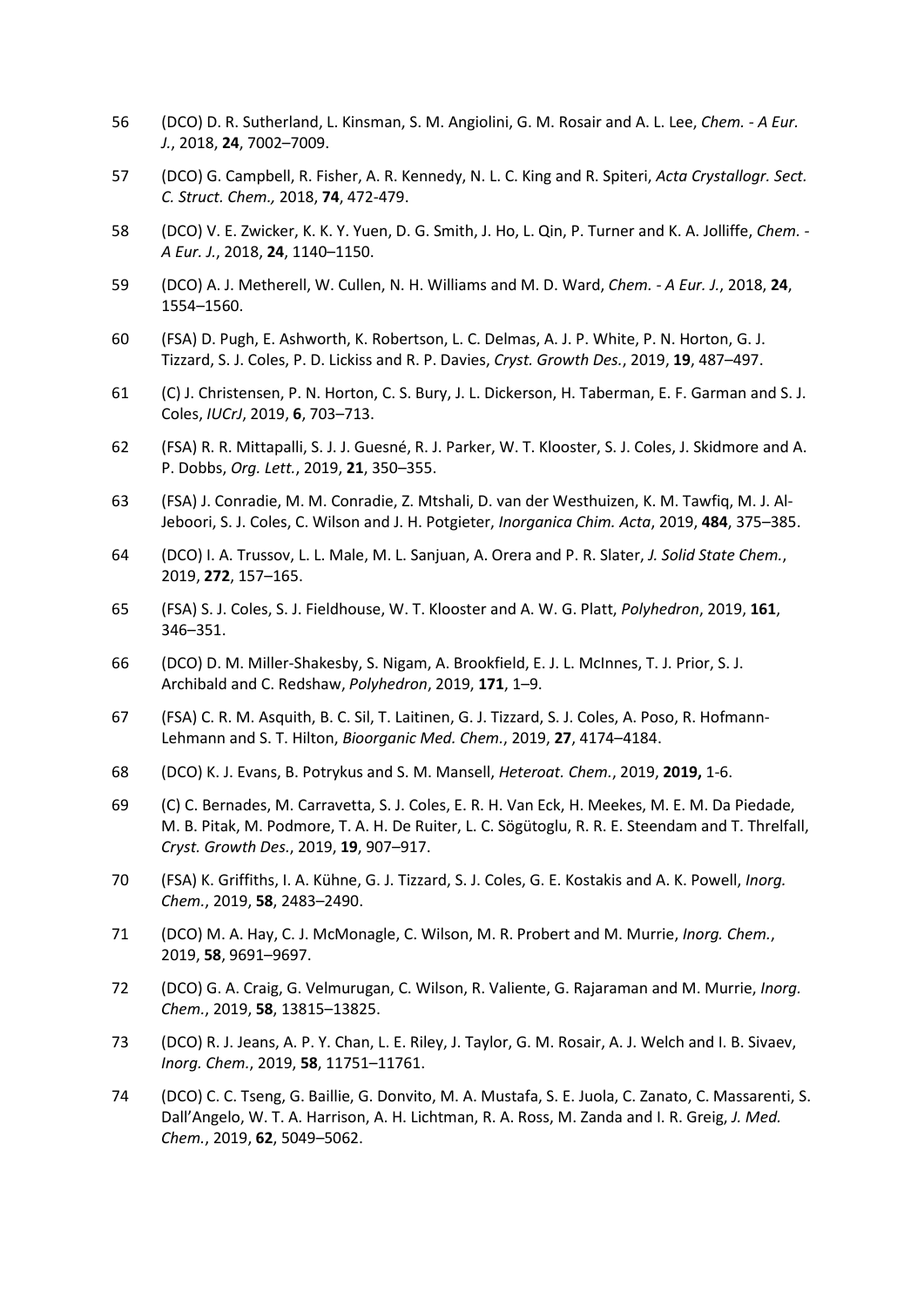- 56 (DCO) D. R. Sutherland, L. Kinsman, S. M. Angiolini, G. M. Rosair and A. L. Lee, *Chem. - A Eur. J.*, 2018, **24**, 7002–7009.
- 57 (DCO) G. Campbell, R. Fisher, A. R. Kennedy, N. L. C. King and R. Spiteri, *Acta Crystallogr. Sect. C. Struct. Chem.,* 2018, **74**, 472-479.
- 58 (DCO) V. E. Zwicker, K. K. Y. Yuen, D. G. Smith, J. Ho, L. Qin, P. Turner and K. A. Jolliffe, *Chem. - A Eur. J.*, 2018, **24**, 1140–1150.
- 59 (DCO) A. J. Metherell, W. Cullen, N. H. Williams and M. D. Ward, *Chem. - A Eur. J.*, 2018, **24**, 1554–1560.
- 60 (FSA) D. Pugh, E. Ashworth, K. Robertson, L. C. Delmas, A. J. P. White, P. N. Horton, G. J. Tizzard, S. J. Coles, P. D. Lickiss and R. P. Davies, *Cryst. Growth Des.*, 2019, **19**, 487–497.
- 61 (C) J. Christensen, P. N. Horton, C. S. Bury, J. L. Dickerson, H. Taberman, E. F. Garman and S. J. Coles, *IUCrJ*, 2019, **6**, 703–713.
- 62 (FSA) R. R. Mittapalli, S. J. J. Guesné, R. J. Parker, W. T. Klooster, S. J. Coles, J. Skidmore and A. P. Dobbs, *Org. Lett.*, 2019, **21**, 350–355.
- 63 (FSA) J. Conradie, M. M. Conradie, Z. Mtshali, D. van der Westhuizen, K. M. Tawfiq, M. J. Al-Jeboori, S. J. Coles, C. Wilson and J. H. Potgieter, *Inorganica Chim. Acta*, 2019, **484**, 375–385.
- 64 (DCO) I. A. Trussov, L. L. Male, M. L. Sanjuan, A. Orera and P. R. Slater, *J. Solid State Chem.*, 2019, **272**, 157–165.
- 65 (FSA) S. J. Coles, S. J. Fieldhouse, W. T. Klooster and A. W. G. Platt, *Polyhedron*, 2019, **161**, 346–351.
- 66 (DCO) D. M. Miller-Shakesby, S. Nigam, A. Brookfield, E. J. L. McInnes, T. J. Prior, S. J. Archibald and C. Redshaw, *Polyhedron*, 2019, **171**, 1–9.
- 67 (FSA) C. R. M. Asquith, B. C. Sil, T. Laitinen, G. J. Tizzard, S. J. Coles, A. Poso, R. Hofmann-Lehmann and S. T. Hilton, *Bioorganic Med. Chem.*, 2019, **27**, 4174–4184.
- 68 (DCO) K. J. Evans, B. Potrykus and S. M. Mansell, *Heteroat. Chem.*, 2019, **2019,** 1-6.
- 69 (C) C. Bernades, M. Carravetta, S. J. Coles, E. R. H. Van Eck, H. Meekes, M. E. M. Da Piedade, M. B. Pitak, M. Podmore, T. A. H. De Ruiter, L. C. Sögütoglu, R. R. E. Steendam and T. Threlfall, *Cryst. Growth Des.*, 2019, **19**, 907–917.
- 70 (FSA) K. Griffiths, I. A. Kühne, G. J. Tizzard, S. J. Coles, G. E. Kostakis and A. K. Powell, *Inorg. Chem.*, 2019, **58**, 2483–2490.
- 71 (DCO) M. A. Hay, C. J. McMonagle, C. Wilson, M. R. Probert and M. Murrie, *Inorg. Chem.*, 2019, **58**, 9691–9697.
- 72 (DCO) G. A. Craig, G. Velmurugan, C. Wilson, R. Valiente, G. Rajaraman and M. Murrie, *Inorg. Chem.*, 2019, **58**, 13815–13825.
- 73 (DCO) R. J. Jeans, A. P. Y. Chan, L. E. Riley, J. Taylor, G. M. Rosair, A. J. Welch and I. B. Sivaev, *Inorg. Chem.*, 2019, **58**, 11751–11761.
- 74 (DCO) C. C. Tseng, G. Baillie, G. Donvito, M. A. Mustafa, S. E. Juola, C. Zanato, C. Massarenti, S. Dall'Angelo, W. T. A. Harrison, A. H. Lichtman, R. A. Ross, M. Zanda and I. R. Greig, *J. Med. Chem.*, 2019, **62**, 5049–5062.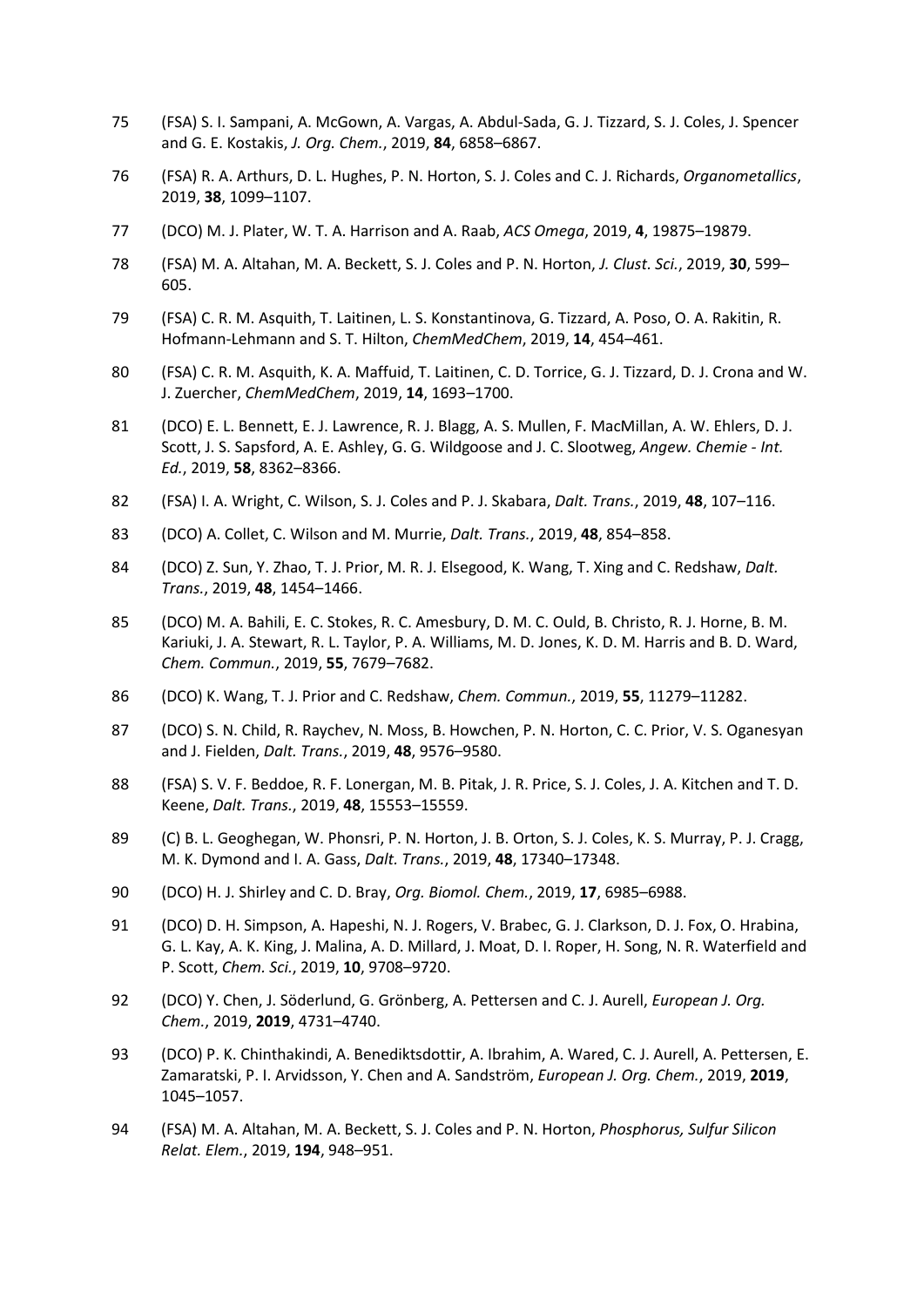- 75 (FSA) S. I. Sampani, A. McGown, A. Vargas, A. Abdul-Sada, G. J. Tizzard, S. J. Coles, J. Spencer and G. E. Kostakis, *J. Org. Chem.*, 2019, **84**, 6858–6867.
- 76 (FSA) R. A. Arthurs, D. L. Hughes, P. N. Horton, S. J. Coles and C. J. Richards, *Organometallics*, 2019, **38**, 1099–1107.
- 77 (DCO) M. J. Plater, W. T. A. Harrison and A. Raab, *ACS Omega*, 2019, **4**, 19875–19879.
- 78 (FSA) M. A. Altahan, M. A. Beckett, S. J. Coles and P. N. Horton, *J. Clust. Sci.*, 2019, **30**, 599– 605.
- 79 (FSA) C. R. M. Asquith, T. Laitinen, L. S. Konstantinova, G. Tizzard, A. Poso, O. A. Rakitin, R. Hofmann-Lehmann and S. T. Hilton, *ChemMedChem*, 2019, **14**, 454–461.
- 80 (FSA) C. R. M. Asquith, K. A. Maffuid, T. Laitinen, C. D. Torrice, G. J. Tizzard, D. J. Crona and W. J. Zuercher, *ChemMedChem*, 2019, **14**, 1693–1700.
- 81 (DCO) E. L. Bennett, E. J. Lawrence, R. J. Blagg, A. S. Mullen, F. MacMillan, A. W. Ehlers, D. J. Scott, J. S. Sapsford, A. E. Ashley, G. G. Wildgoose and J. C. Slootweg, *Angew. Chemie - Int. Ed.*, 2019, **58**, 8362–8366.
- 82 (FSA) I. A. Wright, C. Wilson, S. J. Coles and P. J. Skabara, *Dalt. Trans.*, 2019, **48**, 107–116.
- 83 (DCO) A. Collet, C. Wilson and M. Murrie, *Dalt. Trans.*, 2019, **48**, 854–858.
- 84 (DCO) Z. Sun, Y. Zhao, T. J. Prior, M. R. J. Elsegood, K. Wang, T. Xing and C. Redshaw, *Dalt. Trans.*, 2019, **48**, 1454–1466.
- 85 (DCO) M. A. Bahili, E. C. Stokes, R. C. Amesbury, D. M. C. Ould, B. Christo, R. J. Horne, B. M. Kariuki, J. A. Stewart, R. L. Taylor, P. A. Williams, M. D. Jones, K. D. M. Harris and B. D. Ward, *Chem. Commun.*, 2019, **55**, 7679–7682.
- 86 (DCO) K. Wang, T. J. Prior and C. Redshaw, *Chem. Commun.*, 2019, **55**, 11279–11282.
- 87 (DCO) S. N. Child, R. Raychev, N. Moss, B. Howchen, P. N. Horton, C. C. Prior, V. S. Oganesyan and J. Fielden, *Dalt. Trans.*, 2019, **48**, 9576–9580.
- 88 (FSA) S. V. F. Beddoe, R. F. Lonergan, M. B. Pitak, J. R. Price, S. J. Coles, J. A. Kitchen and T. D. Keene, *Dalt. Trans.*, 2019, **48**, 15553–15559.
- 89 (C) B. L. Geoghegan, W. Phonsri, P. N. Horton, J. B. Orton, S. J. Coles, K. S. Murray, P. J. Cragg, M. K. Dymond and I. A. Gass, *Dalt. Trans.*, 2019, **48**, 17340–17348.
- 90 (DCO) H. J. Shirley and C. D. Bray, *Org. Biomol. Chem.*, 2019, **17**, 6985–6988.
- 91 (DCO) D. H. Simpson, A. Hapeshi, N. J. Rogers, V. Brabec, G. J. Clarkson, D. J. Fox, O. Hrabina, G. L. Kay, A. K. King, J. Malina, A. D. Millard, J. Moat, D. I. Roper, H. Song, N. R. Waterfield and P. Scott, *Chem. Sci.*, 2019, **10**, 9708–9720.
- 92 (DCO) Y. Chen, J. Söderlund, G. Grönberg, A. Pettersen and C. J. Aurell, *European J. Org. Chem.*, 2019, **2019**, 4731–4740.
- 93 (DCO) P. K. Chinthakindi, A. Benediktsdottir, A. Ibrahim, A. Wared, C. J. Aurell, A. Pettersen, E. Zamaratski, P. I. Arvidsson, Y. Chen and A. Sandström, *European J. Org. Chem.*, 2019, **2019**, 1045–1057.
- 94 (FSA) M. A. Altahan, M. A. Beckett, S. J. Coles and P. N. Horton, *Phosphorus, Sulfur Silicon Relat. Elem.*, 2019, **194**, 948–951.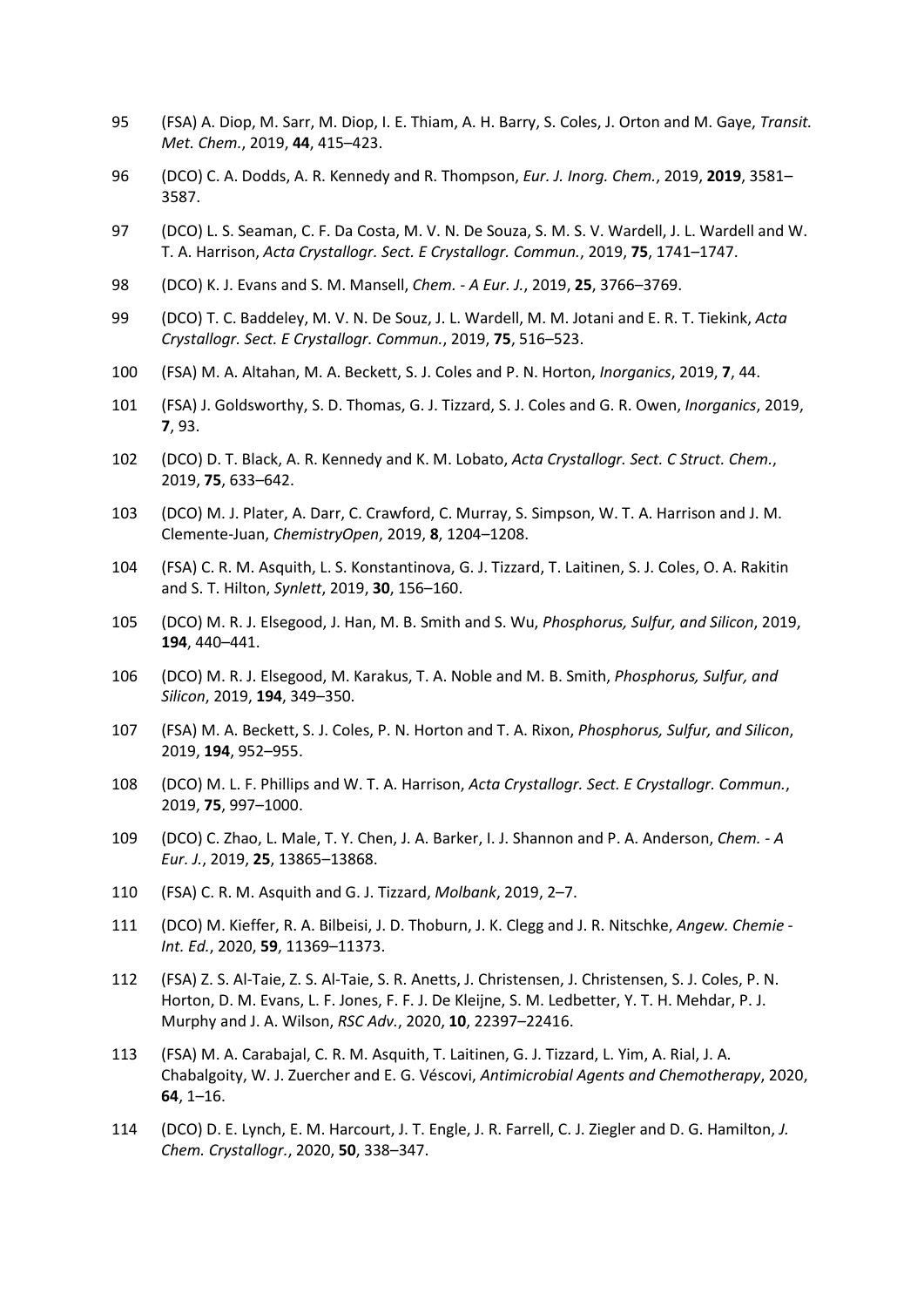- 95 (FSA) A. Diop, M. Sarr, M. Diop, I. E. Thiam, A. H. Barry, S. Coles, J. Orton and M. Gaye, *Transit. Met. Chem.*, 2019, **44**, 415–423.
- 96 (DCO) C. A. Dodds, A. R. Kennedy and R. Thompson, *Eur. J. Inorg. Chem.*, 2019, **2019**, 3581– 3587.
- 97 (DCO) L. S. Seaman, C. F. Da Costa, M. V. N. De Souza, S. M. S. V. Wardell, J. L. Wardell and W. T. A. Harrison, *Acta Crystallogr. Sect. E Crystallogr. Commun.*, 2019, **75**, 1741–1747.
- 98 (DCO) K. J. Evans and S. M. Mansell, *Chem. - A Eur. J.*, 2019, **25**, 3766–3769.
- 99 (DCO) T. C. Baddeley, M. V. N. De Souz, J. L. Wardell, M. M. Jotani and E. R. T. Tiekink, *Acta Crystallogr. Sect. E Crystallogr. Commun.*, 2019, **75**, 516–523.
- 100 (FSA) M. A. Altahan, M. A. Beckett, S. J. Coles and P. N. Horton, *Inorganics*, 2019, **7**, 44.
- 101 (FSA) J. Goldsworthy, S. D. Thomas, G. J. Tizzard, S. J. Coles and G. R. Owen, *Inorganics*, 2019, **7**, 93.
- 102 (DCO) D. T. Black, A. R. Kennedy and K. M. Lobato, *Acta Crystallogr. Sect. C Struct. Chem.*, 2019, **75**, 633–642.
- 103 (DCO) M. J. Plater, A. Darr, C. Crawford, C. Murray, S. Simpson, W. T. A. Harrison and J. M. Clemente-Juan, *ChemistryOpen*, 2019, **8**, 1204–1208.
- 104 (FSA) C. R. M. Asquith, L. S. Konstantinova, G. J. Tizzard, T. Laitinen, S. J. Coles, O. A. Rakitin and S. T. Hilton, *Synlett*, 2019, **30**, 156–160.
- 105 (DCO) M. R. J. Elsegood, J. Han, M. B. Smith and S. Wu, *Phosphorus, Sulfur, and Silicon*, 2019, **194**, 440–441.
- 106 (DCO) M. R. J. Elsegood, M. Karakus, T. A. Noble and M. B. Smith, *Phosphorus, Sulfur, and Silicon*, 2019, **194**, 349–350.
- 107 (FSA) M. A. Beckett, S. J. Coles, P. N. Horton and T. A. Rixon, *Phosphorus, Sulfur, and Silicon*, 2019, **194**, 952–955.
- 108 (DCO) M. L. F. Phillips and W. T. A. Harrison, *Acta Crystallogr. Sect. E Crystallogr. Commun.*, 2019, **75**, 997–1000.
- 109 (DCO) C. Zhao, L. Male, T. Y. Chen, J. A. Barker, I. J. Shannon and P. A. Anderson, *Chem. - A Eur. J.*, 2019, **25**, 13865–13868.
- 110 (FSA) C. R. M. Asquith and G. J. Tizzard, *Molbank*, 2019, 2–7.
- 111 (DCO) M. Kieffer, R. A. Bilbeisi, J. D. Thoburn, J. K. Clegg and J. R. Nitschke, *Angew. Chemie - Int. Ed.*, 2020, **59**, 11369–11373.
- 112 (FSA) Z. S. Al-Taie, Z. S. Al-Taie, S. R. Anetts, J. Christensen, J. Christensen, S. J. Coles, P. N. Horton, D. M. Evans, L. F. Jones, F. F. J. De Kleijne, S. M. Ledbetter, Y. T. H. Mehdar, P. J. Murphy and J. A. Wilson, *RSC Adv.*, 2020, **10**, 22397–22416.
- 113 (FSA) M. A. Carabajal, C. R. M. Asquith, T. Laitinen, G. J. Tizzard, L. Yim, A. Rial, J. A. Chabalgoity, W. J. Zuercher and E. G. Véscovi, *Antimicrobial Agents and Chemotherapy*, 2020, **64**, 1–16.
- 114 (DCO) D. E. Lynch, E. M. Harcourt, J. T. Engle, J. R. Farrell, C. J. Ziegler and D. G. Hamilton, *J. Chem. Crystallogr.*, 2020, **50**, 338–347.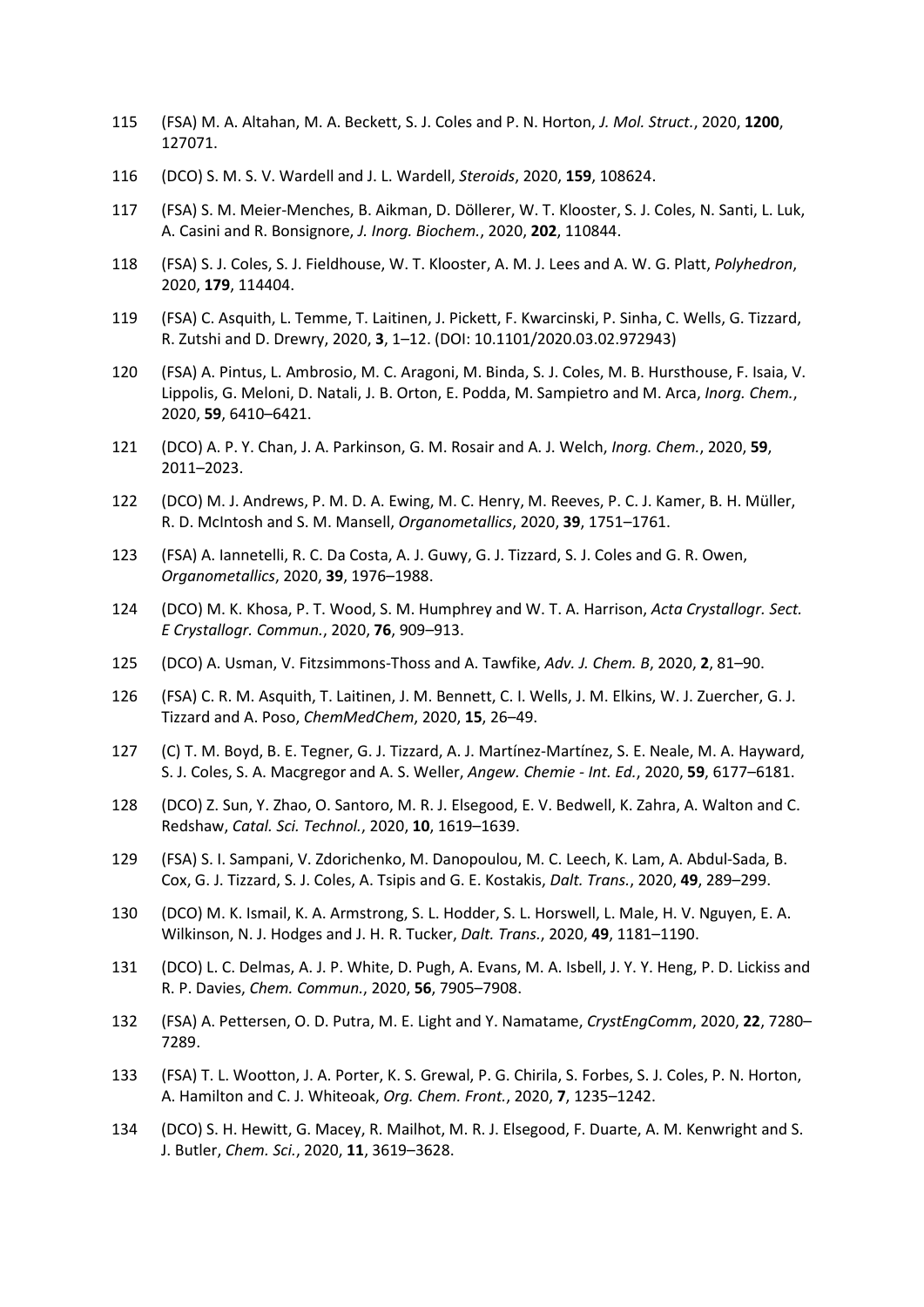- 115 (FSA) M. A. Altahan, M. A. Beckett, S. J. Coles and P. N. Horton, *J. Mol. Struct.*, 2020, **1200**, 127071.
- 116 (DCO) S. M. S. V. Wardell and J. L. Wardell, *Steroids*, 2020, **159**, 108624.
- 117 (FSA) S. M. Meier-Menches, B. Aikman, D. Döllerer, W. T. Klooster, S. J. Coles, N. Santi, L. Luk, A. Casini and R. Bonsignore, *J. Inorg. Biochem.*, 2020, **202**, 110844.
- 118 (FSA) S. J. Coles, S. J. Fieldhouse, W. T. Klooster, A. M. J. Lees and A. W. G. Platt, *Polyhedron*, 2020, **179**, 114404.
- 119 (FSA) C. Asquith, L. Temme, T. Laitinen, J. Pickett, F. Kwarcinski, P. Sinha, C. Wells, G. Tizzard, R. Zutshi and D. Drewry, 2020, **3**, 1–12. (DOI: 10.1101/2020.03.02.972943)
- 120 (FSA) A. Pintus, L. Ambrosio, M. C. Aragoni, M. Binda, S. J. Coles, M. B. Hursthouse, F. Isaia, V. Lippolis, G. Meloni, D. Natali, J. B. Orton, E. Podda, M. Sampietro and M. Arca, *Inorg. Chem.*, 2020, **59**, 6410–6421.
- 121 (DCO) A. P. Y. Chan, J. A. Parkinson, G. M. Rosair and A. J. Welch, *Inorg. Chem.*, 2020, **59**, 2011–2023.
- 122 (DCO) M. J. Andrews, P. M. D. A. Ewing, M. C. Henry, M. Reeves, P. C. J. Kamer, B. H. Müller, R. D. McIntosh and S. M. Mansell, *Organometallics*, 2020, **39**, 1751–1761.
- 123 (FSA) A. Iannetelli, R. C. Da Costa, A. J. Guwy, G. J. Tizzard, S. J. Coles and G. R. Owen, *Organometallics*, 2020, **39**, 1976–1988.
- 124 (DCO) M. K. Khosa, P. T. Wood, S. M. Humphrey and W. T. A. Harrison, *Acta Crystallogr. Sect. E Crystallogr. Commun.*, 2020, **76**, 909–913.
- 125 (DCO) A. Usman, V. Fitzsimmons-Thoss and A. Tawfike, *Adv. J. Chem. B*, 2020, **2**, 81–90.
- 126 (FSA) C. R. M. Asquith, T. Laitinen, J. M. Bennett, C. I. Wells, J. M. Elkins, W. J. Zuercher, G. J. Tizzard and A. Poso, *ChemMedChem*, 2020, **15**, 26–49.
- 127 (C) T. M. Boyd, B. E. Tegner, G. J. Tizzard, A. J. Martínez-Martínez, S. E. Neale, M. A. Hayward, S. J. Coles, S. A. Macgregor and A. S. Weller, *Angew. Chemie - Int. Ed.*, 2020, **59**, 6177–6181.
- 128 (DCO) Z. Sun, Y. Zhao, O. Santoro, M. R. J. Elsegood, E. V. Bedwell, K. Zahra, A. Walton and C. Redshaw, *Catal. Sci. Technol.*, 2020, **10**, 1619–1639.
- 129 (FSA) S. I. Sampani, V. Zdorichenko, M. Danopoulou, M. C. Leech, K. Lam, A. Abdul-Sada, B. Cox, G. J. Tizzard, S. J. Coles, A. Tsipis and G. E. Kostakis, *Dalt. Trans.*, 2020, **49**, 289–299.
- 130 (DCO) M. K. Ismail, K. A. Armstrong, S. L. Hodder, S. L. Horswell, L. Male, H. V. Nguyen, E. A. Wilkinson, N. J. Hodges and J. H. R. Tucker, *Dalt. Trans.*, 2020, **49**, 1181–1190.
- 131 (DCO) L. C. Delmas, A. J. P. White, D. Pugh, A. Evans, M. A. Isbell, J. Y. Y. Heng, P. D. Lickiss and R. P. Davies, *Chem. Commun.*, 2020, **56**, 7905–7908.
- 132 (FSA) A. Pettersen, O. D. Putra, M. E. Light and Y. Namatame, *CrystEngComm*, 2020, **22**, 7280– 7289.
- 133 (FSA) T. L. Wootton, J. A. Porter, K. S. Grewal, P. G. Chirila, S. Forbes, S. J. Coles, P. N. Horton, A. Hamilton and C. J. Whiteoak, *Org. Chem. Front.*, 2020, **7**, 1235–1242.
- 134 (DCO) S. H. Hewitt, G. Macey, R. Mailhot, M. R. J. Elsegood, F. Duarte, A. M. Kenwright and S. J. Butler, *Chem. Sci.*, 2020, **11**, 3619–3628.